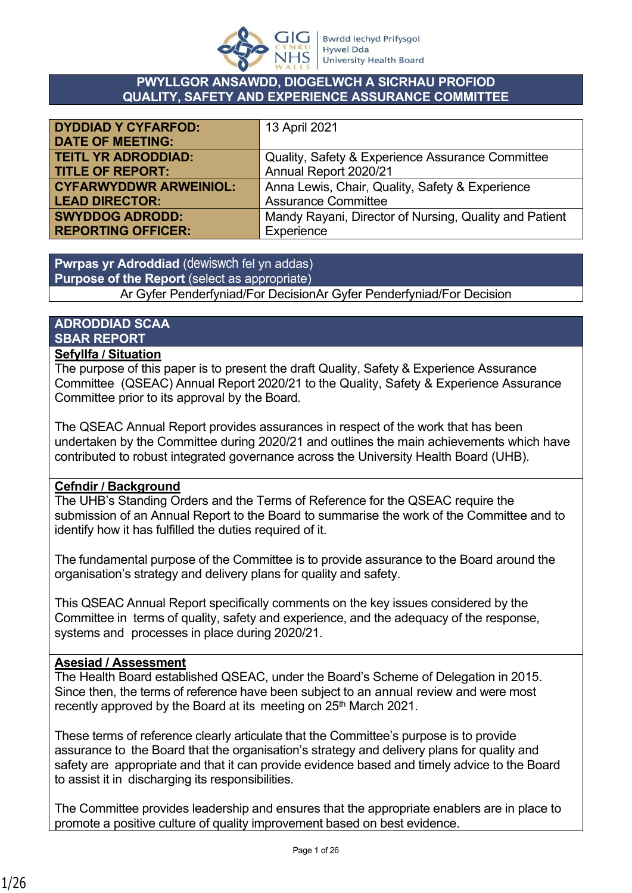

#### **PWYLLGOR ANSAWDD, DIOGELWCH A SICRHAU PROFIOD QUALITY, SAFETY AND EXPERIENCE ASSURANCE COMMITTEE**

| <b>DYDDIAD Y CYFARFOD:</b>    | 13 April 2021                                          |
|-------------------------------|--------------------------------------------------------|
| <b>DATE OF MEETING:</b>       |                                                        |
| <b>TEITL YR ADRODDIAD:</b>    | Quality, Safety & Experience Assurance Committee       |
| <b>TITLE OF REPORT:</b>       | Annual Report 2020/21                                  |
| <b>CYFARWYDDWR ARWEINIOL:</b> | Anna Lewis, Chair, Quality, Safety & Experience        |
| <b>LEAD DIRECTOR:</b>         | <b>Assurance Committee</b>                             |
| <b>SWYDDOG ADRODD:</b>        | Mandy Rayani, Director of Nursing, Quality and Patient |
| <b>REPORTING OFFICER:</b>     | Experience                                             |

# **Pwrpas yr Adroddiad** (dewiswch fel yn addas) **Purpose of the Report** (select as appropriate)

Ar Gyfer Penderfyniad/For DecisionAr Gyfer Penderfyniad/For Decision

# **ADRODDIAD SCAA SBAR REPORT**

#### **Sefyllfa / Situation**

The purpose of this paper is to present the draft Quality, Safety & Experience Assurance Committee (QSEAC) Annual Report 2020/21 to the Quality, Safety & Experience Assurance Committee prior to its approval by the Board.

The QSEAC Annual Report provides assurances in respect of the work that has been undertaken by the Committee during 2020/21 and outlines the main achievements which have contributed to robust integrated governance across the University Health Board (UHB).

#### **Cefndir / Background**

The UHB's Standing Orders and the Terms of Reference for the QSEAC require the submission of an Annual Report to the Board to summarise the work of the Committee and to identify how it has fulfilled the duties required of it.

The fundamental purpose of the Committee is to provide assurance to the Board around the organisation's strategy and delivery plans for quality and safety.

This QSEAC Annual Report specifically comments on the key issues considered by the Committee in terms of quality, safety and experience, and the adequacy of the response, systems and processes in place during 2020/21.

#### **Asesiad / Assessment**

The Health Board established QSEAC, under the Board's Scheme of Delegation in 2015. Since then, the terms of reference have been subject to an annual review and were most recently approved by the Board at its meeting on 25<sup>th</sup> March 2021.

These terms of reference clearly articulate that the Committee's purpose is to provide assurance to the Board that the organisation's strategy and delivery plans for quality and safety are appropriate and that it can provide evidence based and timely advice to the Board to assist it in discharging its responsibilities.

The Committee provides leadership and ensures that the appropriate enablers are in place to promote a positive culture of quality improvement based on best evidence.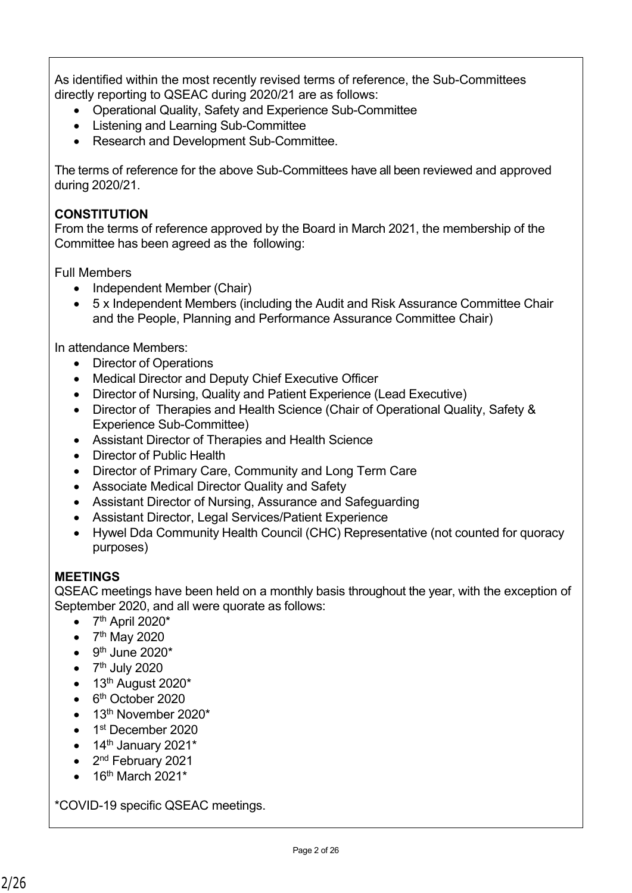As identified within the most recently revised terms of reference, the Sub-Committees directly reporting to QSEAC during 2020/21 are as follows:

- Operational Quality, Safety and Experience Sub-Committee
- Listening and Learning Sub-Committee
- Research and Development Sub-Committee.

The terms of reference for the above Sub-Committees have all been reviewed and approved during 2020/21.

## **CONSTITUTION**

From the terms of reference approved by the Board in March 2021, the membership of the Committee has been agreed as the following:

Full Members

- Independent Member (Chair)
- 5 x Independent Members (including the Audit and Risk Assurance Committee Chair and the People, Planning and Performance Assurance Committee Chair)

In attendance Members:

- Director of Operations
- Medical Director and Deputy Chief Executive Officer
- Director of Nursing, Quality and Patient Experience (Lead Executive)
- Director of Therapies and Health Science (Chair of Operational Quality, Safety & Experience Sub-Committee)
- Assistant Director of Therapies and Health Science
- Director of Public Health
- Director of Primary Care, Community and Long Term Care
- Associate Medical Director Quality and Safety
- Assistant Director of Nursing, Assurance and Safeguarding
- Assistant Director, Legal Services/Patient Experience
- Hywel Dda Community Health Council (CHC) Representative (not counted for quoracy purposes)

#### **MEETINGS**

QSEAC meetings have been held on a monthly basis throughout the year, with the exception of September 2020, and all were quorate as follows:

- $\bullet$  7<sup>th</sup> April 2020\*
- $\bullet$  7<sup>th</sup> May 2020
- $\bullet$  9<sup>th</sup> June 2020\*
- $\bullet$  7<sup>th</sup> July 2020
- $\bullet$  13<sup>th</sup> August 2020<sup>\*</sup>
- 6<sup>th</sup> October 2020
- 13<sup>th</sup> November 2020\*
- 1<sup>st</sup> December 2020
- $\bullet$  14<sup>th</sup> January 2021<sup>\*</sup>
- 2<sup>nd</sup> February 2021
- 16th March 2021\*

\*COVID-19 specific QSEAC meetings.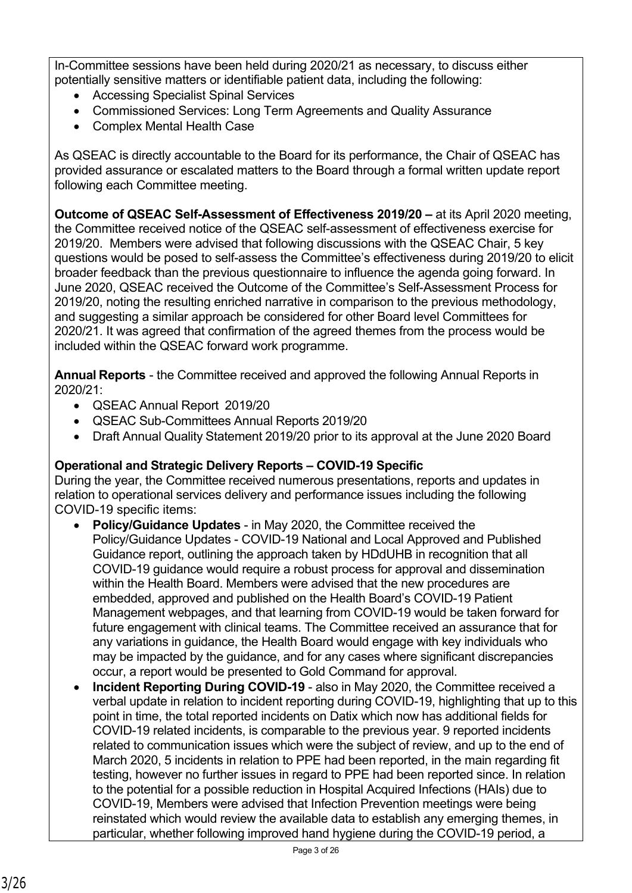In-Committee sessions have been held during 2020/21 as necessary, to discuss either potentially sensitive matters or identifiable patient data, including the following:

- Accessing Specialist Spinal Services
- Commissioned Services: Long Term Agreements and Quality Assurance
- Complex Mental Health Case

As QSEAC is directly accountable to the Board for its performance, the Chair of QSEAC has provided assurance or escalated matters to the Board through a formal written update report following each Committee meeting.

**Outcome of QSEAC Self-Assessment of Effectiveness 2019/20 –** at its April 2020 meeting, the Committee received notice of the QSEAC self-assessment of effectiveness exercise for 2019/20. Members were advised that following discussions with the QSEAC Chair, 5 key questions would be posed to self-assess the Committee's effectiveness during 2019/20 to elicit broader feedback than the previous questionnaire to influence the agenda going forward. In June 2020, QSEAC received the Outcome of the Committee's Self-Assessment Process for 2019/20, noting the resulting enriched narrative in comparison to the previous methodology, and suggesting a similar approach be considered for other Board level Committees for 2020/21. It was agreed that confirmation of the agreed themes from the process would be included within the QSEAC forward work programme.

**Annual Reports** - the Committee received and approved the following Annual Reports in 2020/21:

- QSEAC Annual Report 2019/20
- QSEAC Sub-Committees Annual Reports 2019/20
- Draft Annual Quality Statement 2019/20 prior to its approval at the June 2020 Board

#### **Operational and Strategic Delivery Reports – COVID-19 Specific**

During the year, the Committee received numerous presentations, reports and updates in relation to operational services delivery and performance issues including the following COVID-19 specific items:

- **Policy/Guidance Updates**  in May 2020, the Committee received the Policy/Guidance Updates - COVID-19 National and Local Approved and Published Guidance report, outlining the approach taken by HDdUHB in recognition that all COVID-19 guidance would require a robust process for approval and dissemination within the Health Board. Members were advised that the new procedures are embedded, approved and published on the Health Board's COVID-19 Patient Management webpages, and that learning from COVID-19 would be taken forward for future engagement with clinical teams. The Committee received an assurance that for any variations in guidance, the Health Board would engage with key individuals who may be impacted by the guidance, and for any cases where significant discrepancies occur, a report would be presented to Gold Command for approval.
- **Incident Reporting During COVID-19** also in May 2020, the Committee received a verbal update in relation to incident reporting during COVID-19, highlighting that up to this point in time, the total reported incidents on Datix which now has additional fields for COVID-19 related incidents, is comparable to the previous year. 9 reported incidents related to communication issues which were the subject of review, and up to the end of March 2020, 5 incidents in relation to PPE had been reported, in the main regarding fit testing, however no further issues in regard to PPE had been reported since. In relation to the potential for a possible reduction in Hospital Acquired Infections (HAIs) due to COVID-19, Members were advised that Infection Prevention meetings were being reinstated which would review the available data to establish any emerging themes, in particular, whether following improved hand hygiene during the COVID-19 period, a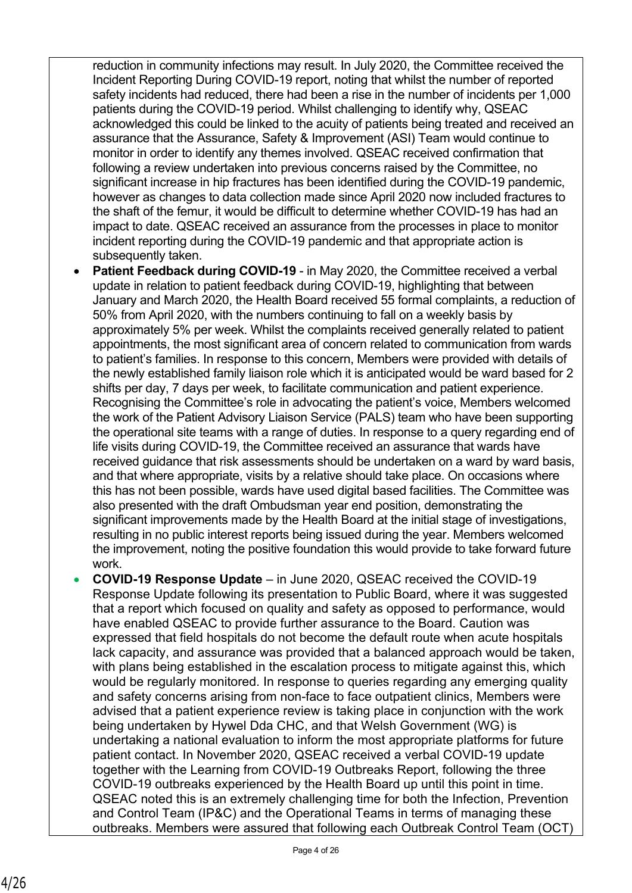reduction in community infections may result. In July 2020, the Committee received the Incident Reporting During COVID-19 report, noting that whilst the number of reported safety incidents had reduced, there had been a rise in the number of incidents per 1,000 patients during the COVID-19 period. Whilst challenging to identify why, QSEAC acknowledged this could be linked to the acuity of patients being treated and received an assurance that the Assurance, Safety & Improvement (ASI) Team would continue to monitor in order to identify any themes involved. QSEAC received confirmation that following a review undertaken into previous concerns raised by the Committee, no significant increase in hip fractures has been identified during the COVID-19 pandemic, however as changes to data collection made since April 2020 now included fractures to the shaft of the femur, it would be difficult to determine whether COVID-19 has had an impact to date. QSEAC received an assurance from the processes in place to monitor incident reporting during the COVID-19 pandemic and that appropriate action is subsequently taken.

- **Patient Feedback during COVID-19** in May 2020, the Committee received a verbal update in relation to patient feedback during COVID-19, highlighting that between January and March 2020, the Health Board received 55 formal complaints, a reduction of 50% from April 2020, with the numbers continuing to fall on a weekly basis by approximately 5% per week. Whilst the complaints received generally related to patient appointments, the most significant area of concern related to communication from wards to patient's families. In response to this concern, Members were provided with details of the newly established family liaison role which it is anticipated would be ward based for 2 shifts per day, 7 days per week, to facilitate communication and patient experience. Recognising the Committee's role in advocating the patient's voice, Members welcomed the work of the Patient Advisory Liaison Service (PALS) team who have been supporting the operational site teams with a range of duties. In response to a query regarding end of life visits during COVID-19, the Committee received an assurance that wards have received guidance that risk assessments should be undertaken on a ward by ward basis, and that where appropriate, visits by a relative should take place. On occasions where this has not been possible, wards have used digital based facilities. The Committee was also presented with the draft Ombudsman year end position, demonstrating the significant improvements made by the Health Board at the initial stage of investigations, resulting in no public interest reports being issued during the year. Members welcomed the improvement, noting the positive foundation this would provide to take forward future work.
- **COVID-19 Response Update**  in June 2020, QSEAC received the COVID-19 Response Update following its presentation to Public Board, where it was suggested that a report which focused on quality and safety as opposed to performance, would have enabled QSEAC to provide further assurance to the Board. Caution was expressed that field hospitals do not become the default route when acute hospitals lack capacity, and assurance was provided that a balanced approach would be taken, with plans being established in the escalation process to mitigate against this, which would be regularly monitored. In response to queries regarding any emerging quality and safety concerns arising from non-face to face outpatient clinics, Members were advised that a patient experience review is taking place in conjunction with the work being undertaken by Hywel Dda CHC, and that Welsh Government (WG) is undertaking a national evaluation to inform the most appropriate platforms for future patient contact. In November 2020, QSEAC received a verbal COVID-19 update together with the Learning from COVID-19 Outbreaks Report, following the three COVID-19 outbreaks experienced by the Health Board up until this point in time. QSEAC noted this is an extremely challenging time for both the Infection, Prevention and Control Team (IP&C) and the Operational Teams in terms of managing these outbreaks. Members were assured that following each Outbreak Control Team (OCT)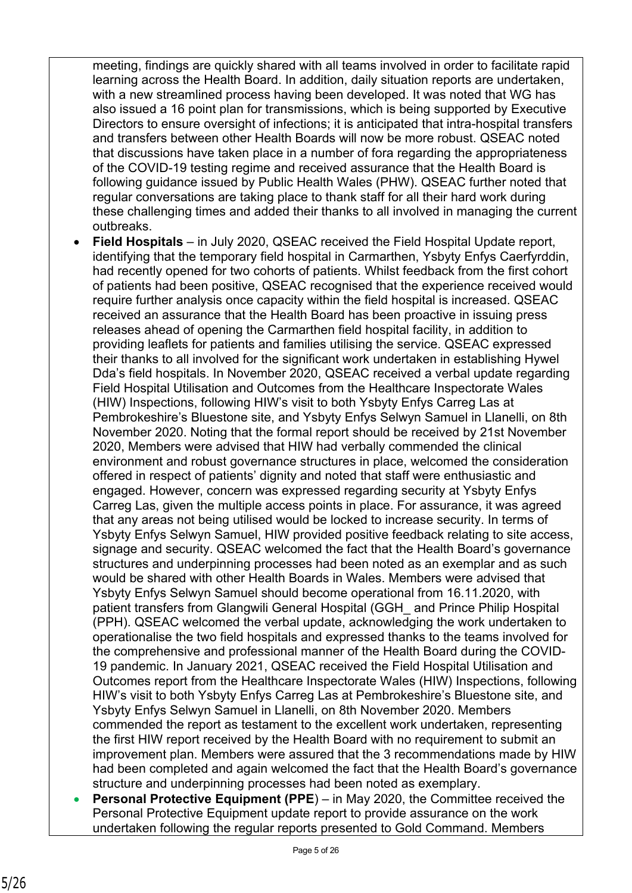meeting, findings are quickly shared with all teams involved in order to facilitate rapid learning across the Health Board. In addition, daily situation reports are undertaken, with a new streamlined process having been developed. It was noted that WG has also issued a 16 point plan for transmissions, which is being supported by Executive Directors to ensure oversight of infections; it is anticipated that intra-hospital transfers and transfers between other Health Boards will now be more robust. QSEAC noted that discussions have taken place in a number of fora regarding the appropriateness of the COVID-19 testing regime and received assurance that the Health Board is following guidance issued by Public Health Wales (PHW). QSEAC further noted that regular conversations are taking place to thank staff for all their hard work during these challenging times and added their thanks to all involved in managing the current outbreaks.

- **Field Hospitals** in July 2020, QSEAC received the Field Hospital Update report, identifying that the temporary field hospital in Carmarthen, Ysbyty Enfys Caerfyrddin, had recently opened for two cohorts of patients. Whilst feedback from the first cohort of patients had been positive, QSEAC recognised that the experience received would require further analysis once capacity within the field hospital is increased. QSEAC received an assurance that the Health Board has been proactive in issuing press releases ahead of opening the Carmarthen field hospital facility, in addition to providing leaflets for patients and families utilising the service. QSEAC expressed their thanks to all involved for the significant work undertaken in establishing Hywel Dda's field hospitals. In November 2020, QSEAC received a verbal update regarding Field Hospital Utilisation and Outcomes from the Healthcare Inspectorate Wales (HIW) Inspections, following HIW's visit to both Ysbyty Enfys Carreg Las at Pembrokeshire's Bluestone site, and Ysbyty Enfys Selwyn Samuel in Llanelli, on 8th November 2020. Noting that the formal report should be received by 21st November 2020, Members were advised that HIW had verbally commended the clinical environment and robust governance structures in place, welcomed the consideration offered in respect of patients' dignity and noted that staff were enthusiastic and engaged. However, concern was expressed regarding security at Ysbyty Enfys Carreg Las, given the multiple access points in place. For assurance, it was agreed that any areas not being utilised would be locked to increase security. In terms of Ysbyty Enfys Selwyn Samuel, HIW provided positive feedback relating to site access, signage and security. QSEAC welcomed the fact that the Health Board's governance structures and underpinning processes had been noted as an exemplar and as such would be shared with other Health Boards in Wales. Members were advised that Ysbyty Enfys Selwyn Samuel should become operational from 16.11.2020, with patient transfers from Glangwili General Hospital (GGH\_ and Prince Philip Hospital (PPH). QSEAC welcomed the verbal update, acknowledging the work undertaken to operationalise the two field hospitals and expressed thanks to the teams involved for the comprehensive and professional manner of the Health Board during the COVID-19 pandemic. In January 2021, QSEAC received the Field Hospital Utilisation and Outcomes report from the Healthcare Inspectorate Wales (HIW) Inspections, following HIW's visit to both Ysbyty Enfys Carreg Las at Pembrokeshire's Bluestone site, and Ysbyty Enfys Selwyn Samuel in Llanelli, on 8th November 2020. Members commended the report as testament to the excellent work undertaken, representing the first HIW report received by the Health Board with no requirement to submit an improvement plan. Members were assured that the 3 recommendations made by HIW had been completed and again welcomed the fact that the Health Board's governance structure and underpinning processes had been noted as exemplary.
- **Personal Protective Equipment (PPE**) in May 2020, the Committee received the Personal Protective Equipment update report to provide assurance on the work undertaken following the regular reports presented to Gold Command. Members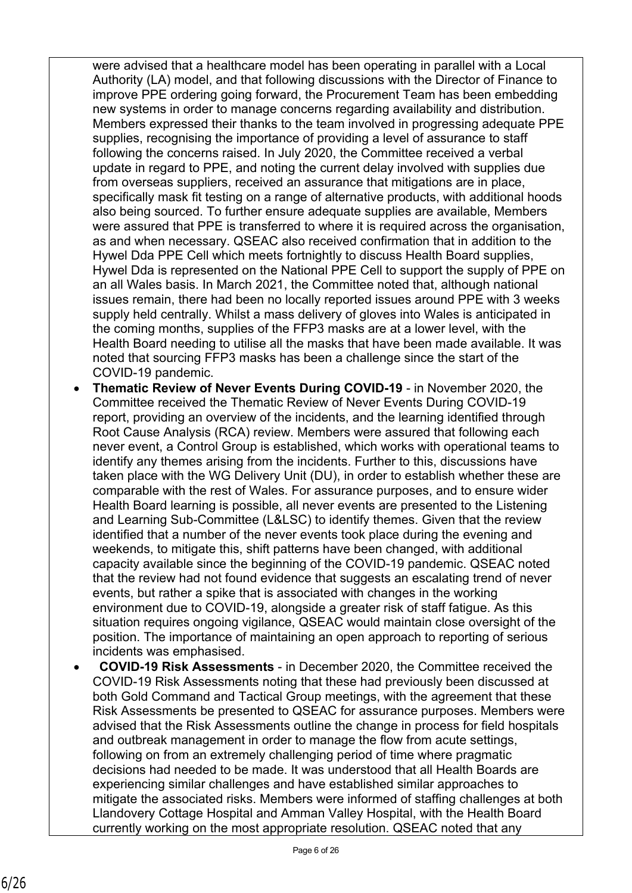were advised that a healthcare model has been operating in parallel with a Local Authority (LA) model, and that following discussions with the Director of Finance to improve PPE ordering going forward, the Procurement Team has been embedding new systems in order to manage concerns regarding availability and distribution. Members expressed their thanks to the team involved in progressing adequate PPE supplies, recognising the importance of providing a level of assurance to staff following the concerns raised. In July 2020, the Committee received a verbal update in regard to PPE, and noting the current delay involved with supplies due from overseas suppliers, received an assurance that mitigations are in place, specifically mask fit testing on a range of alternative products, with additional hoods also being sourced. To further ensure adequate supplies are available, Members were assured that PPE is transferred to where it is required across the organisation, as and when necessary. QSEAC also received confirmation that in addition to the Hywel Dda PPE Cell which meets fortnightly to discuss Health Board supplies, Hywel Dda is represented on the National PPE Cell to support the supply of PPE on an all Wales basis. In March 2021, the Committee noted that, although national issues remain, there had been no locally reported issues around PPE with 3 weeks supply held centrally. Whilst a mass delivery of gloves into Wales is anticipated in the coming months, supplies of the FFP3 masks are at a lower level, with the Health Board needing to utilise all the masks that have been made available. It was noted that sourcing FFP3 masks has been a challenge since the start of the COVID-19 pandemic.

- **Thematic Review of Never Events During COVID-19** in November 2020, the Committee received the Thematic Review of Never Events During COVID-19 report, providing an overview of the incidents, and the learning identified through Root Cause Analysis (RCA) review. Members were assured that following each never event, a Control Group is established, which works with operational teams to identify any themes arising from the incidents. Further to this, discussions have taken place with the WG Delivery Unit (DU), in order to establish whether these are comparable with the rest of Wales. For assurance purposes, and to ensure wider Health Board learning is possible, all never events are presented to the Listening and Learning Sub-Committee (L&LSC) to identify themes. Given that the review identified that a number of the never events took place during the evening and weekends, to mitigate this, shift patterns have been changed, with additional capacity available since the beginning of the COVID-19 pandemic. QSEAC noted that the review had not found evidence that suggests an escalating trend of never events, but rather a spike that is associated with changes in the working environment due to COVID-19, alongside a greater risk of staff fatigue. As this situation requires ongoing vigilance, QSEAC would maintain close oversight of the position. The importance of maintaining an open approach to reporting of serious incidents was emphasised.
- **COVID-19 Risk Assessments** in December 2020, the Committee received the COVID-19 Risk Assessments noting that these had previously been discussed at both Gold Command and Tactical Group meetings, with the agreement that these Risk Assessments be presented to QSEAC for assurance purposes. Members were advised that the Risk Assessments outline the change in process for field hospitals and outbreak management in order to manage the flow from acute settings, following on from an extremely challenging period of time where pragmatic decisions had needed to be made. It was understood that all Health Boards are experiencing similar challenges and have established similar approaches to mitigate the associated risks. Members were informed of staffing challenges at both Llandovery Cottage Hospital and Amman Valley Hospital, with the Health Board currently working on the most appropriate resolution. QSEAC noted that any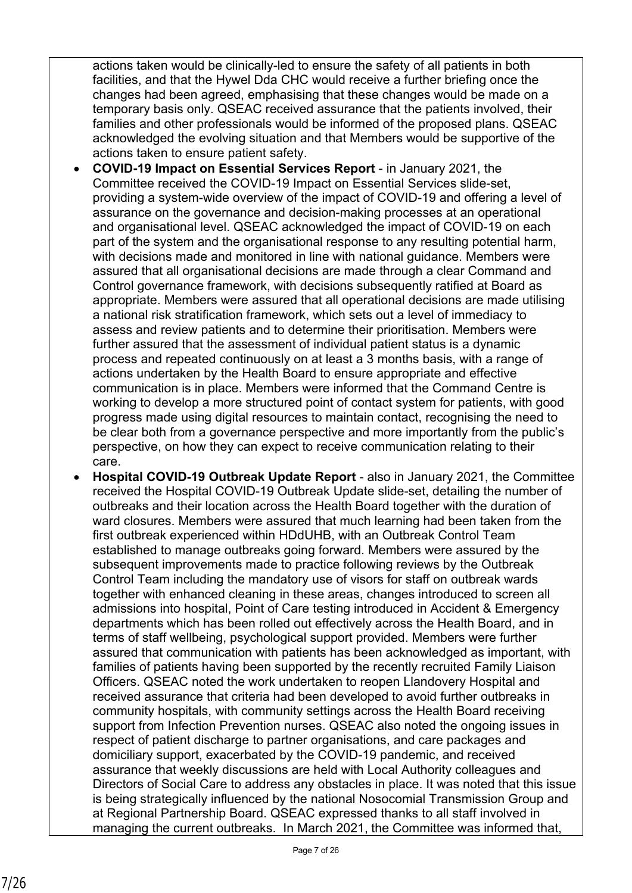actions taken would be clinically-led to ensure the safety of all patients in both facilities, and that the Hywel Dda CHC would receive a further briefing once the changes had been agreed, emphasising that these changes would be made on a temporary basis only. QSEAC received assurance that the patients involved, their families and other professionals would be informed of the proposed plans. QSEAC acknowledged the evolving situation and that Members would be supportive of the actions taken to ensure patient safety.

- **COVID-19 Impact on Essential Services Report** in January 2021, the Committee received the COVID-19 Impact on Essential Services slide-set, providing a system-wide overview of the impact of COVID-19 and offering a level of assurance on the governance and decision-making processes at an operational and organisational level. QSEAC acknowledged the impact of COVID-19 on each part of the system and the organisational response to any resulting potential harm, with decisions made and monitored in line with national guidance. Members were assured that all organisational decisions are made through a clear Command and Control governance framework, with decisions subsequently ratified at Board as appropriate. Members were assured that all operational decisions are made utilising a national risk stratification framework, which sets out a level of immediacy to assess and review patients and to determine their prioritisation. Members were further assured that the assessment of individual patient status is a dynamic process and repeated continuously on at least a 3 months basis, with a range of actions undertaken by the Health Board to ensure appropriate and effective communication is in place. Members were informed that the Command Centre is working to develop a more structured point of contact system for patients, with good progress made using digital resources to maintain contact, recognising the need to be clear both from a governance perspective and more importantly from the public's perspective, on how they can expect to receive communication relating to their care.
- **Hospital COVID-19 Outbreak Update Report**  also in January 2021, the Committee received the Hospital COVID-19 Outbreak Update slide-set, detailing the number of outbreaks and their location across the Health Board together with the duration of ward closures. Members were assured that much learning had been taken from the first outbreak experienced within HDdUHB, with an Outbreak Control Team established to manage outbreaks going forward. Members were assured by the subsequent improvements made to practice following reviews by the Outbreak Control Team including the mandatory use of visors for staff on outbreak wards together with enhanced cleaning in these areas, changes introduced to screen all admissions into hospital, Point of Care testing introduced in Accident & Emergency departments which has been rolled out effectively across the Health Board, and in terms of staff wellbeing, psychological support provided. Members were further assured that communication with patients has been acknowledged as important, with families of patients having been supported by the recently recruited Family Liaison Officers. QSEAC noted the work undertaken to reopen Llandovery Hospital and received assurance that criteria had been developed to avoid further outbreaks in community hospitals, with community settings across the Health Board receiving support from Infection Prevention nurses. QSEAC also noted the ongoing issues in respect of patient discharge to partner organisations, and care packages and domiciliary support, exacerbated by the COVID-19 pandemic, and received assurance that weekly discussions are held with Local Authority colleagues and Directors of Social Care to address any obstacles in place. It was noted that this issue is being strategically influenced by the national Nosocomial Transmission Group and at Regional Partnership Board. QSEAC expressed thanks to all staff involved in managing the current outbreaks. In March 2021, the Committee was informed that,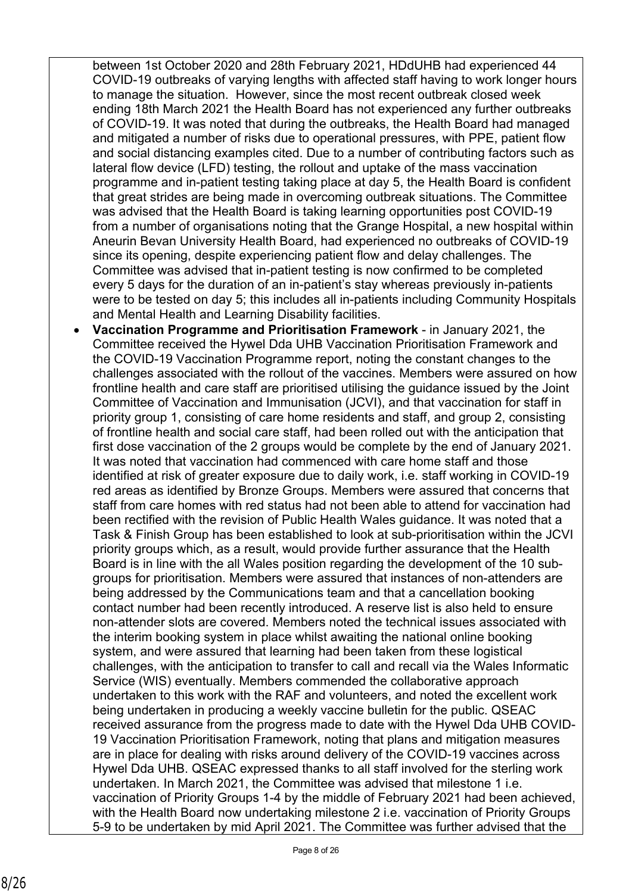between 1st October 2020 and 28th February 2021, HDdUHB had experienced 44 COVID-19 outbreaks of varying lengths with affected staff having to work longer hours to manage the situation. However, since the most recent outbreak closed week ending 18th March 2021 the Health Board has not experienced any further outbreaks of COVID-19. It was noted that during the outbreaks, the Health Board had managed and mitigated a number of risks due to operational pressures, with PPE, patient flow and social distancing examples cited. Due to a number of contributing factors such as lateral flow device (LFD) testing, the rollout and uptake of the mass vaccination programme and in-patient testing taking place at day 5, the Health Board is confident that great strides are being made in overcoming outbreak situations. The Committee was advised that the Health Board is taking learning opportunities post COVID-19 from a number of organisations noting that the Grange Hospital, a new hospital within Aneurin Bevan University Health Board, had experienced no outbreaks of COVID-19 since its opening, despite experiencing patient flow and delay challenges. The Committee was advised that in-patient testing is now confirmed to be completed every 5 days for the duration of an in-patient's stay whereas previously in-patients were to be tested on day 5; this includes all in-patients including Community Hospitals and Mental Health and Learning Disability facilities.

 **Vaccination Programme and Prioritisation Framework** - in January 2021, the Committee received the Hywel Dda UHB Vaccination Prioritisation Framework and the COVID-19 Vaccination Programme report, noting the constant changes to the challenges associated with the rollout of the vaccines. Members were assured on how frontline health and care staff are prioritised utilising the guidance issued by the Joint Committee of Vaccination and Immunisation (JCVI), and that vaccination for staff in priority group 1, consisting of care home residents and staff, and group 2, consisting of frontline health and social care staff, had been rolled out with the anticipation that first dose vaccination of the 2 groups would be complete by the end of January 2021. It was noted that vaccination had commenced with care home staff and those identified at risk of greater exposure due to daily work, i.e. staff working in COVID-19 red areas as identified by Bronze Groups. Members were assured that concerns that staff from care homes with red status had not been able to attend for vaccination had been rectified with the revision of Public Health Wales guidance. It was noted that a Task & Finish Group has been established to look at sub-prioritisation within the JCVI priority groups which, as a result, would provide further assurance that the Health Board is in line with the all Wales position regarding the development of the 10 subgroups for prioritisation. Members were assured that instances of non-attenders are being addressed by the Communications team and that a cancellation booking contact number had been recently introduced. A reserve list is also held to ensure non-attender slots are covered. Members noted the technical issues associated with the interim booking system in place whilst awaiting the national online booking system, and were assured that learning had been taken from these logistical challenges, with the anticipation to transfer to call and recall via the Wales Informatic Service (WIS) eventually. Members commended the collaborative approach undertaken to this work with the RAF and volunteers, and noted the excellent work being undertaken in producing a weekly vaccine bulletin for the public. QSEAC received assurance from the progress made to date with the Hywel Dda UHB COVID-19 Vaccination Prioritisation Framework, noting that plans and mitigation measures are in place for dealing with risks around delivery of the COVID-19 vaccines across Hywel Dda UHB. QSEAC expressed thanks to all staff involved for the sterling work undertaken. In March 2021, the Committee was advised that milestone 1 i.e. vaccination of Priority Groups 1-4 by the middle of February 2021 had been achieved, with the Health Board now undertaking milestone 2 i.e. vaccination of Priority Groups 5-9 to be undertaken by mid April 2021. The Committee was further advised that the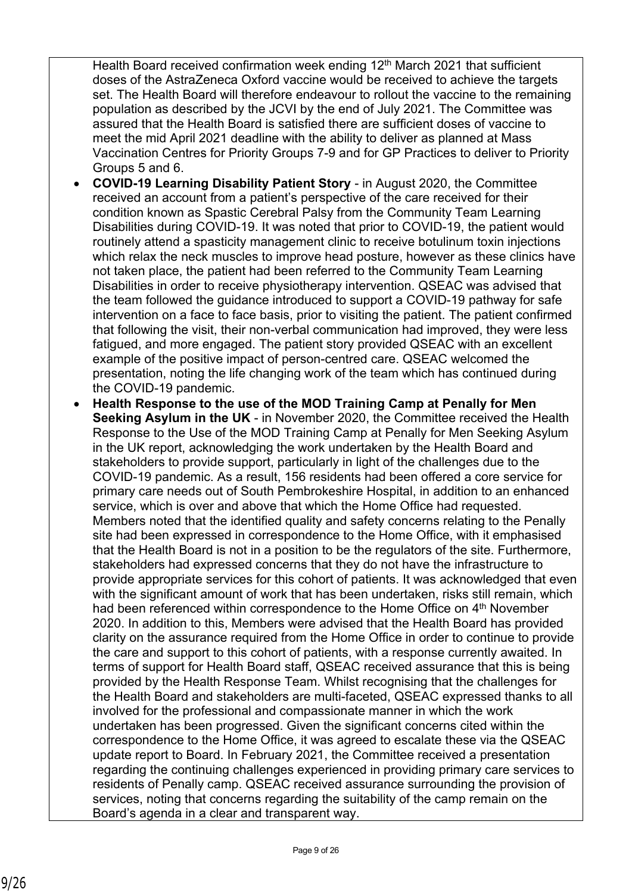Health Board received confirmation week ending 12<sup>th</sup> March 2021 that sufficient doses of the AstraZeneca Oxford vaccine would be received to achieve the targets set. The Health Board will therefore endeavour to rollout the vaccine to the remaining population as described by the JCVI by the end of July 2021. The Committee was assured that the Health Board is satisfied there are sufficient doses of vaccine to meet the mid April 2021 deadline with the ability to deliver as planned at Mass Vaccination Centres for Priority Groups 7-9 and for GP Practices to deliver to Priority Groups 5 and 6.

- **COVID-19 Learning Disability Patient Story** in August 2020, the Committee received an account from a patient's perspective of the care received for their condition known as Spastic Cerebral Palsy from the Community Team Learning Disabilities during COVID-19. It was noted that prior to COVID-19, the patient would routinely attend a spasticity management clinic to receive botulinum toxin injections which relax the neck muscles to improve head posture, however as these clinics have not taken place, the patient had been referred to the Community Team Learning Disabilities in order to receive physiotherapy intervention. QSEAC was advised that the team followed the guidance introduced to support a COVID-19 pathway for safe intervention on a face to face basis, prior to visiting the patient. The patient confirmed that following the visit, their non-verbal communication had improved, they were less fatigued, and more engaged. The patient story provided QSEAC with an excellent example of the positive impact of person-centred care. QSEAC welcomed the presentation, noting the life changing work of the team which has continued during the COVID-19 pandemic.
- **Health Response to the use of the MOD Training Camp at Penally for Men Seeking Asylum in the UK** - in November 2020, the Committee received the Health Response to the Use of the MOD Training Camp at Penally for Men Seeking Asylum in the UK report, acknowledging the work undertaken by the Health Board and stakeholders to provide support, particularly in light of the challenges due to the COVID-19 pandemic. As a result, 156 residents had been offered a core service for primary care needs out of South Pembrokeshire Hospital, in addition to an enhanced service, which is over and above that which the Home Office had requested. Members noted that the identified quality and safety concerns relating to the Penally site had been expressed in correspondence to the Home Office, with it emphasised that the Health Board is not in a position to be the regulators of the site. Furthermore, stakeholders had expressed concerns that they do not have the infrastructure to provide appropriate services for this cohort of patients. It was acknowledged that even with the significant amount of work that has been undertaken, risks still remain, which had been referenced within correspondence to the Home Office on 4<sup>th</sup> November 2020. In addition to this, Members were advised that the Health Board has provided clarity on the assurance required from the Home Office in order to continue to provide the care and support to this cohort of patients, with a response currently awaited. In terms of support for Health Board staff, QSEAC received assurance that this is being provided by the Health Response Team. Whilst recognising that the challenges for the Health Board and stakeholders are multi-faceted, QSEAC expressed thanks to all involved for the professional and compassionate manner in which the work undertaken has been progressed. Given the significant concerns cited within the correspondence to the Home Office, it was agreed to escalate these via the QSEAC update report to Board. In February 2021, the Committee received a presentation regarding the continuing challenges experienced in providing primary care services to residents of Penally camp. QSEAC received assurance surrounding the provision of services, noting that concerns regarding the suitability of the camp remain on the Board's agenda in a clear and transparent way.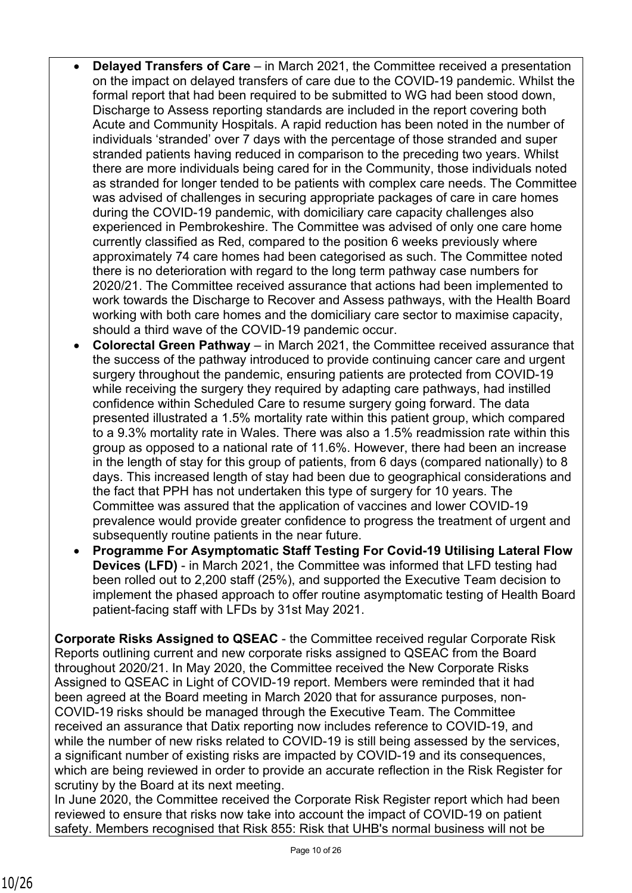- **Delayed Transfers of Care** in March 2021, the Committee received a presentation on the impact on delayed transfers of care due to the COVID-19 pandemic. Whilst the formal report that had been required to be submitted to WG had been stood down, Discharge to Assess reporting standards are included in the report covering both Acute and Community Hospitals. A rapid reduction has been noted in the number of individuals 'stranded' over 7 days with the percentage of those stranded and super stranded patients having reduced in comparison to the preceding two years. Whilst there are more individuals being cared for in the Community, those individuals noted as stranded for longer tended to be patients with complex care needs. The Committee was advised of challenges in securing appropriate packages of care in care homes during the COVID-19 pandemic, with domiciliary care capacity challenges also experienced in Pembrokeshire. The Committee was advised of only one care home currently classified as Red, compared to the position 6 weeks previously where approximately 74 care homes had been categorised as such. The Committee noted there is no deterioration with regard to the long term pathway case numbers for 2020/21. The Committee received assurance that actions had been implemented to work towards the Discharge to Recover and Assess pathways, with the Health Board working with both care homes and the domiciliary care sector to maximise capacity, should a third wave of the COVID-19 pandemic occur.
- **Colorectal Green Pathway** in March 2021, the Committee received assurance that the success of the pathway introduced to provide continuing cancer care and urgent surgery throughout the pandemic, ensuring patients are protected from COVID-19 while receiving the surgery they required by adapting care pathways, had instilled confidence within Scheduled Care to resume surgery going forward. The data presented illustrated a 1.5% mortality rate within this patient group, which compared to a 9.3% mortality rate in Wales. There was also a 1.5% readmission rate within this group as opposed to a national rate of 11.6%. However, there had been an increase in the length of stay for this group of patients, from 6 days (compared nationally) to 8 days. This increased length of stay had been due to geographical considerations and the fact that PPH has not undertaken this type of surgery for 10 years. The Committee was assured that the application of vaccines and lower COVID-19 prevalence would provide greater confidence to progress the treatment of urgent and subsequently routine patients in the near future.
- **Programme For Asymptomatic Staff Testing For Covid-19 Utilising Lateral Flow Devices (LFD)** - in March 2021, the Committee was informed that LFD testing had been rolled out to 2,200 staff (25%), and supported the Executive Team decision to implement the phased approach to offer routine asymptomatic testing of Health Board patient-facing staff with LFDs by 31st May 2021.

**Corporate Risks Assigned to QSEAC** - the Committee received regular Corporate Risk Reports outlining current and new corporate risks assigned to QSEAC from the Board throughout 2020/21. In May 2020, the Committee received the New Corporate Risks Assigned to QSEAC in Light of COVID-19 report. Members were reminded that it had been agreed at the Board meeting in March 2020 that for assurance purposes, non-COVID-19 risks should be managed through the Executive Team. The Committee received an assurance that Datix reporting now includes reference to COVID-19, and while the number of new risks related to COVID-19 is still being assessed by the services, a significant number of existing risks are impacted by COVID-19 and its consequences, which are being reviewed in order to provide an accurate reflection in the Risk Register for scrutiny by the Board at its next meeting.

In June 2020, the Committee received the Corporate Risk Register report which had been reviewed to ensure that risks now take into account the impact of COVID-19 on patient safety. Members recognised that Risk 855: Risk that UHB's normal business will not be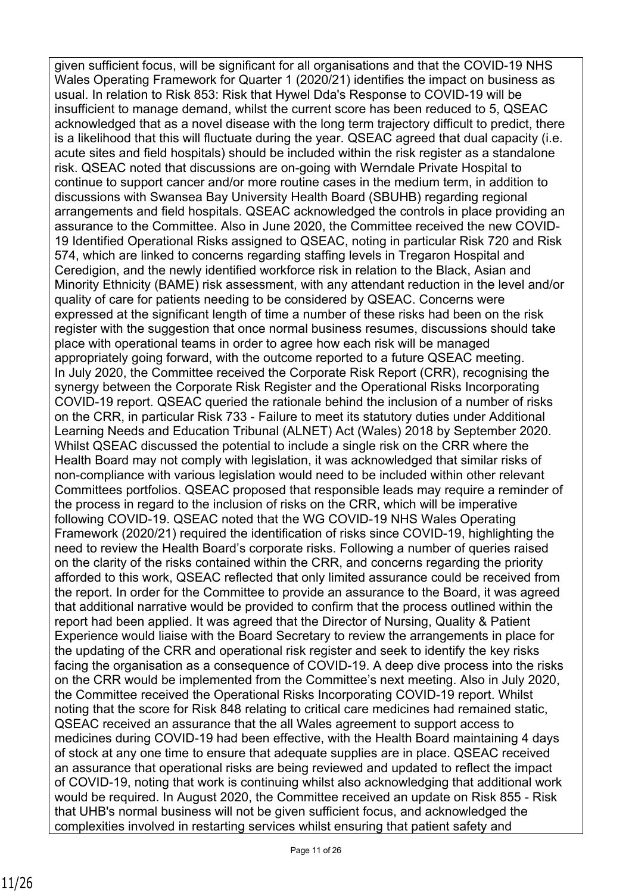given sufficient focus, will be significant for all organisations and that the COVID-19 NHS Wales Operating Framework for Quarter 1 (2020/21) identifies the impact on business as usual. In relation to Risk 853: Risk that Hywel Dda's Response to COVID-19 will be insufficient to manage demand, whilst the current score has been reduced to 5, QSEAC acknowledged that as a novel disease with the long term trajectory difficult to predict, there is a likelihood that this will fluctuate during the year. QSEAC agreed that dual capacity (i.e. acute sites and field hospitals) should be included within the risk register as a standalone risk. QSEAC noted that discussions are on-going with Werndale Private Hospital to continue to support cancer and/or more routine cases in the medium term, in addition to discussions with Swansea Bay University Health Board (SBUHB) regarding regional arrangements and field hospitals. QSEAC acknowledged the controls in place providing an assurance to the Committee. Also in June 2020, the Committee received the new COVID-19 Identified Operational Risks assigned to QSEAC, noting in particular Risk 720 and Risk 574, which are linked to concerns regarding staffing levels in Tregaron Hospital and Ceredigion, and the newly identified workforce risk in relation to the Black, Asian and Minority Ethnicity (BAME) risk assessment, with any attendant reduction in the level and/or quality of care for patients needing to be considered by QSEAC. Concerns were expressed at the significant length of time a number of these risks had been on the risk register with the suggestion that once normal business resumes, discussions should take place with operational teams in order to agree how each risk will be managed appropriately going forward, with the outcome reported to a future QSEAC meeting. In July 2020, the Committee received the Corporate Risk Report (CRR), recognising the synergy between the Corporate Risk Register and the Operational Risks Incorporating COVID-19 report. QSEAC queried the rationale behind the inclusion of a number of risks on the CRR, in particular Risk 733 - Failure to meet its statutory duties under Additional Learning Needs and Education Tribunal (ALNET) Act (Wales) 2018 by September 2020. Whilst QSEAC discussed the potential to include a single risk on the CRR where the Health Board may not comply with legislation, it was acknowledged that similar risks of non-compliance with various legislation would need to be included within other relevant Committees portfolios. QSEAC proposed that responsible leads may require a reminder of the process in regard to the inclusion of risks on the CRR, which will be imperative following COVID-19. QSEAC noted that the WG COVID-19 NHS Wales Operating Framework (2020/21) required the identification of risks since COVID-19, highlighting the need to review the Health Board's corporate risks. Following a number of queries raised on the clarity of the risks contained within the CRR, and concerns regarding the priority afforded to this work, QSEAC reflected that only limited assurance could be received from the report. In order for the Committee to provide an assurance to the Board, it was agreed that additional narrative would be provided to confirm that the process outlined within the report had been applied. It was agreed that the Director of Nursing, Quality & Patient Experience would liaise with the Board Secretary to review the arrangements in place for the updating of the CRR and operational risk register and seek to identify the key risks facing the organisation as a consequence of COVID-19. A deep dive process into the risks on the CRR would be implemented from the Committee's next meeting. Also in July 2020, the Committee received the Operational Risks Incorporating COVID-19 report. Whilst noting that the score for Risk 848 relating to critical care medicines had remained static, QSEAC received an assurance that the all Wales agreement to support access to medicines during COVID-19 had been effective, with the Health Board maintaining 4 days of stock at any one time to ensure that adequate supplies are in place. QSEAC received an assurance that operational risks are being reviewed and updated to reflect the impact of COVID-19, noting that work is continuing whilst also acknowledging that additional work would be required. In August 2020, the Committee received an update on Risk 855 - Risk that UHB's normal business will not be given sufficient focus, and acknowledged the complexities involved in restarting services whilst ensuring that patient safety and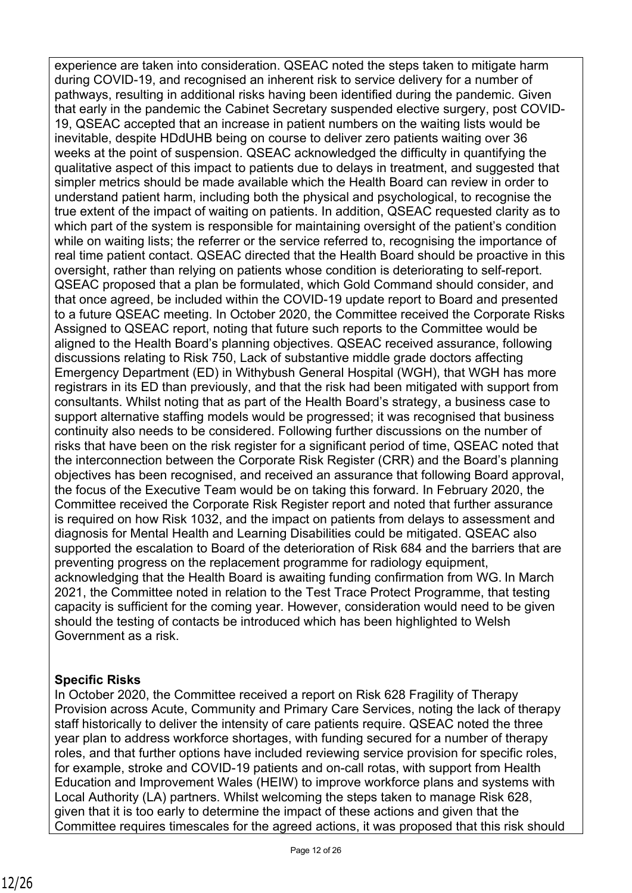experience are taken into consideration. QSEAC noted the steps taken to mitigate harm during COVID-19, and recognised an inherent risk to service delivery for a number of pathways, resulting in additional risks having been identified during the pandemic. Given that early in the pandemic the Cabinet Secretary suspended elective surgery, post COVID-19, QSEAC accepted that an increase in patient numbers on the waiting lists would be inevitable, despite HDdUHB being on course to deliver zero patients waiting over 36 weeks at the point of suspension. QSEAC acknowledged the difficulty in quantifying the qualitative aspect of this impact to patients due to delays in treatment, and suggested that simpler metrics should be made available which the Health Board can review in order to understand patient harm, including both the physical and psychological, to recognise the true extent of the impact of waiting on patients. In addition, QSEAC requested clarity as to which part of the system is responsible for maintaining oversight of the patient's condition while on waiting lists; the referrer or the service referred to, recognising the importance of real time patient contact. QSEAC directed that the Health Board should be proactive in this oversight, rather than relying on patients whose condition is deteriorating to self-report. QSEAC proposed that a plan be formulated, which Gold Command should consider, and that once agreed, be included within the COVID-19 update report to Board and presented to a future QSEAC meeting. In October 2020, the Committee received the Corporate Risks Assigned to QSEAC report, noting that future such reports to the Committee would be aligned to the Health Board's planning objectives. QSEAC received assurance, following discussions relating to Risk 750, Lack of substantive middle grade doctors affecting Emergency Department (ED) in Withybush General Hospital (WGH), that WGH has more registrars in its ED than previously, and that the risk had been mitigated with support from consultants. Whilst noting that as part of the Health Board's strategy, a business case to support alternative staffing models would be progressed; it was recognised that business continuity also needs to be considered. Following further discussions on the number of risks that have been on the risk register for a significant period of time, QSEAC noted that the interconnection between the Corporate Risk Register (CRR) and the Board's planning objectives has been recognised, and received an assurance that following Board approval, the focus of the Executive Team would be on taking this forward. In February 2020, the Committee received the Corporate Risk Register report and noted that further assurance is required on how Risk 1032, and the impact on patients from delays to assessment and diagnosis for Mental Health and Learning Disabilities could be mitigated. QSEAC also supported the escalation to Board of the deterioration of Risk 684 and the barriers that are preventing progress on the replacement programme for radiology equipment, acknowledging that the Health Board is awaiting funding confirmation from WG. In March 2021, the Committee noted in relation to the Test Trace Protect Programme, that testing capacity is sufficient for the coming year. However, consideration would need to be given should the testing of contacts be introduced which has been highlighted to Welsh Government as a risk.

## **Specific Risks**

In October 2020, the Committee received a report on Risk 628 Fragility of Therapy Provision across Acute, Community and Primary Care Services, noting the lack of therapy staff historically to deliver the intensity of care patients require. QSEAC noted the three year plan to address workforce shortages, with funding secured for a number of therapy roles, and that further options have included reviewing service provision for specific roles, for example, stroke and COVID-19 patients and on-call rotas, with support from Health Education and Improvement Wales (HEIW) to improve workforce plans and systems with Local Authority (LA) partners. Whilst welcoming the steps taken to manage Risk 628, given that it is too early to determine the impact of these actions and given that the Committee requires timescales for the agreed actions, it was proposed that this risk should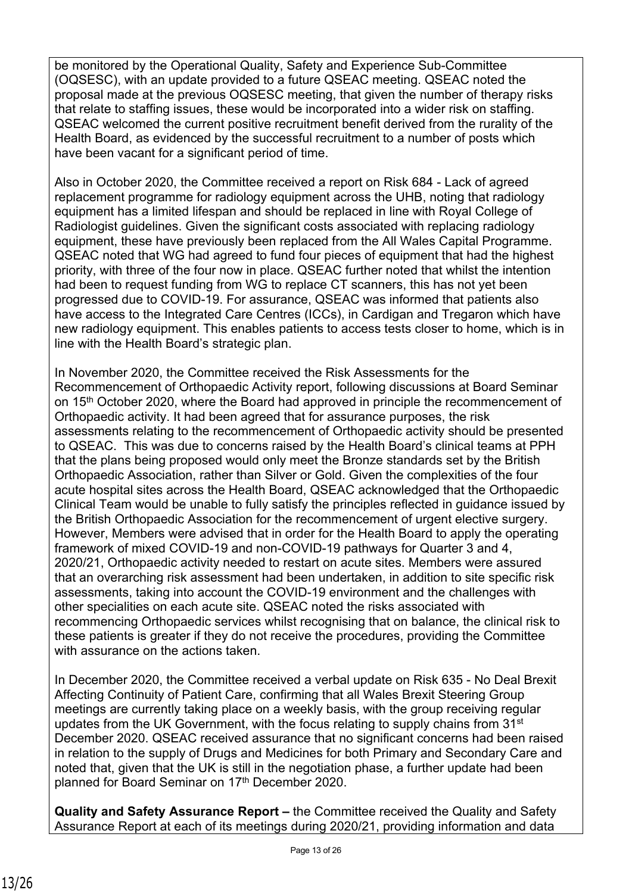be monitored by the Operational Quality, Safety and Experience Sub-Committee (OQSESC), with an update provided to a future QSEAC meeting. QSEAC noted the proposal made at the previous OQSESC meeting, that given the number of therapy risks that relate to staffing issues, these would be incorporated into a wider risk on staffing. QSEAC welcomed the current positive recruitment benefit derived from the rurality of the Health Board, as evidenced by the successful recruitment to a number of posts which have been vacant for a significant period of time.

Also in October 2020, the Committee received a report on Risk 684 - Lack of agreed replacement programme for radiology equipment across the UHB, noting that radiology equipment has a limited lifespan and should be replaced in line with Royal College of Radiologist guidelines. Given the significant costs associated with replacing radiology equipment, these have previously been replaced from the All Wales Capital Programme. QSEAC noted that WG had agreed to fund four pieces of equipment that had the highest priority, with three of the four now in place. QSEAC further noted that whilst the intention had been to request funding from WG to replace CT scanners, this has not yet been progressed due to COVID-19. For assurance, QSEAC was informed that patients also have access to the Integrated Care Centres (ICCs), in Cardigan and Tregaron which have new radiology equipment. This enables patients to access tests closer to home, which is in line with the Health Board's strategic plan.

In November 2020, the Committee received the Risk Assessments for the Recommencement of Orthopaedic Activity report, following discussions at Board Seminar on 15th October 2020, where the Board had approved in principle the recommencement of Orthopaedic activity. It had been agreed that for assurance purposes, the risk assessments relating to the recommencement of Orthopaedic activity should be presented to QSEAC. This was due to concerns raised by the Health Board's clinical teams at PPH that the plans being proposed would only meet the Bronze standards set by the British Orthopaedic Association, rather than Silver or Gold. Given the complexities of the four acute hospital sites across the Health Board, QSEAC acknowledged that the Orthopaedic Clinical Team would be unable to fully satisfy the principles reflected in guidance issued by the British Orthopaedic Association for the recommencement of urgent elective surgery. However, Members were advised that in order for the Health Board to apply the operating framework of mixed COVID-19 and non-COVID-19 pathways for Quarter 3 and 4, 2020/21, Orthopaedic activity needed to restart on acute sites. Members were assured that an overarching risk assessment had been undertaken, in addition to site specific risk assessments, taking into account the COVID-19 environment and the challenges with other specialities on each acute site. QSEAC noted the risks associated with recommencing Orthopaedic services whilst recognising that on balance, the clinical risk to these patients is greater if they do not receive the procedures, providing the Committee with assurance on the actions taken.

In December 2020, the Committee received a verbal update on Risk 635 - No Deal Brexit Affecting Continuity of Patient Care, confirming that all Wales Brexit Steering Group meetings are currently taking place on a weekly basis, with the group receiving regular updates from the UK Government, with the focus relating to supply chains from 31<sup>st</sup> December 2020. QSEAC received assurance that no significant concerns had been raised in relation to the supply of Drugs and Medicines for both Primary and Secondary Care and noted that, given that the UK is still in the negotiation phase, a further update had been planned for Board Seminar on 17<sup>th</sup> December 2020.

**Quality and Safety Assurance Report –** the Committee received the Quality and Safety Assurance Report at each of its meetings during 2020/21, providing information and data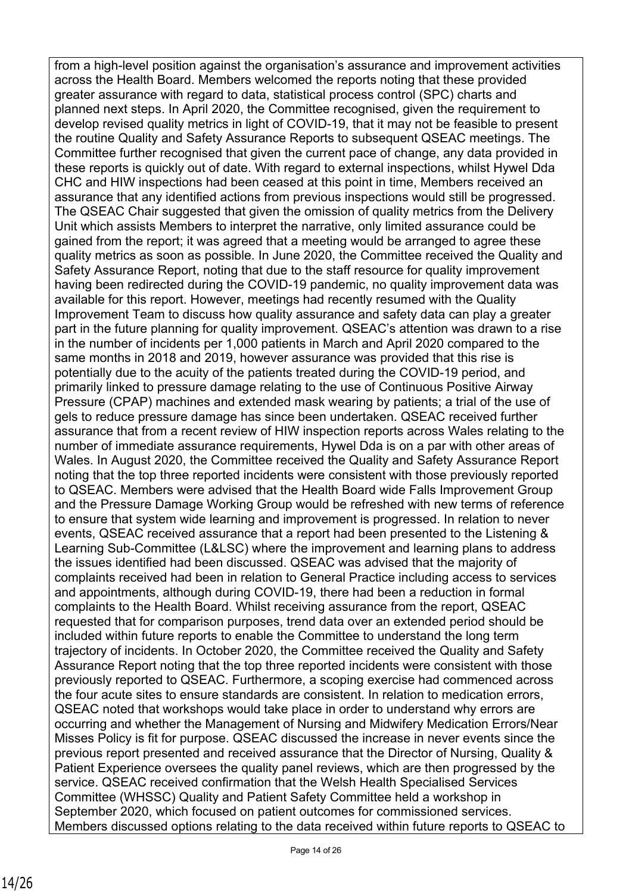from a high-level position against the organisation's assurance and improvement activities across the Health Board. Members welcomed the reports noting that these provided greater assurance with regard to data, statistical process control (SPC) charts and planned next steps. In April 2020, the Committee recognised, given the requirement to develop revised quality metrics in light of COVID-19, that it may not be feasible to present the routine Quality and Safety Assurance Reports to subsequent QSEAC meetings. The Committee further recognised that given the current pace of change, any data provided in these reports is quickly out of date. With regard to external inspections, whilst Hywel Dda CHC and HIW inspections had been ceased at this point in time, Members received an assurance that any identified actions from previous inspections would still be progressed. The QSEAC Chair suggested that given the omission of quality metrics from the Delivery Unit which assists Members to interpret the narrative, only limited assurance could be gained from the report; it was agreed that a meeting would be arranged to agree these quality metrics as soon as possible. In June 2020, the Committee received the Quality and Safety Assurance Report, noting that due to the staff resource for quality improvement having been redirected during the COVID-19 pandemic, no quality improvement data was available for this report. However, meetings had recently resumed with the Quality Improvement Team to discuss how quality assurance and safety data can play a greater part in the future planning for quality improvement. QSEAC's attention was drawn to a rise in the number of incidents per 1,000 patients in March and April 2020 compared to the same months in 2018 and 2019, however assurance was provided that this rise is potentially due to the acuity of the patients treated during the COVID-19 period, and primarily linked to pressure damage relating to the use of Continuous Positive Airway Pressure (CPAP) machines and extended mask wearing by patients; a trial of the use of gels to reduce pressure damage has since been undertaken. QSEAC received further assurance that from a recent review of HIW inspection reports across Wales relating to the number of immediate assurance requirements, Hywel Dda is on a par with other areas of Wales. In August 2020, the Committee received the Quality and Safety Assurance Report noting that the top three reported incidents were consistent with those previously reported to QSEAC. Members were advised that the Health Board wide Falls Improvement Group and the Pressure Damage Working Group would be refreshed with new terms of reference to ensure that system wide learning and improvement is progressed. In relation to never events, QSEAC received assurance that a report had been presented to the Listening & Learning Sub-Committee (L&LSC) where the improvement and learning plans to address the issues identified had been discussed. QSEAC was advised that the majority of complaints received had been in relation to General Practice including access to services and appointments, although during COVID-19, there had been a reduction in formal complaints to the Health Board. Whilst receiving assurance from the report, QSEAC requested that for comparison purposes, trend data over an extended period should be included within future reports to enable the Committee to understand the long term trajectory of incidents. In October 2020, the Committee received the Quality and Safety Assurance Report noting that the top three reported incidents were consistent with those previously reported to QSEAC. Furthermore, a scoping exercise had commenced across the four acute sites to ensure standards are consistent. In relation to medication errors, QSEAC noted that workshops would take place in order to understand why errors are occurring and whether the Management of Nursing and Midwifery Medication Errors/Near Misses Policy is fit for purpose. QSEAC discussed the increase in never events since the previous report presented and received assurance that the Director of Nursing, Quality & Patient Experience oversees the quality panel reviews, which are then progressed by the service. QSEAC received confirmation that the Welsh Health Specialised Services Committee (WHSSC) Quality and Patient Safety Committee held a workshop in September 2020, which focused on patient outcomes for commissioned services. Members discussed options relating to the data received within future reports to QSEAC to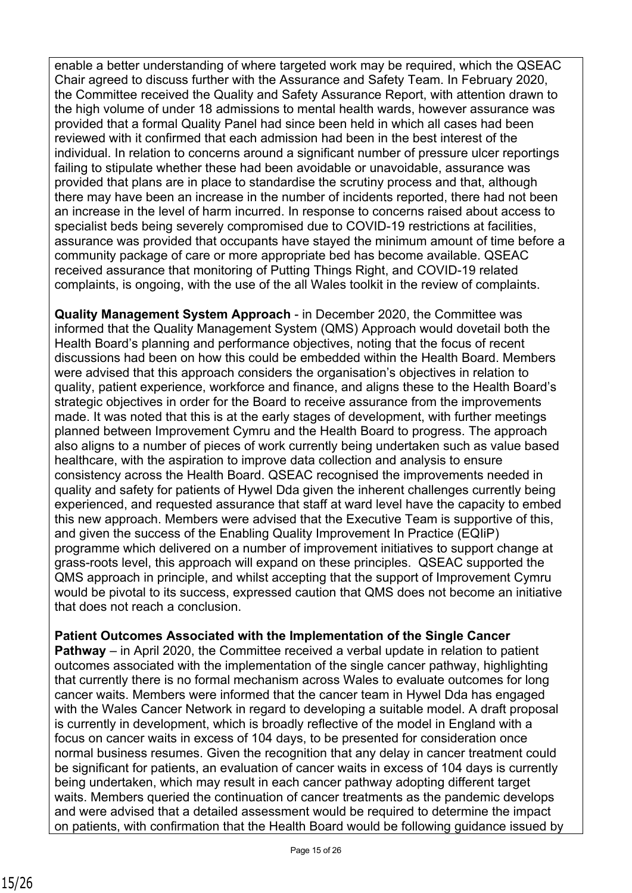enable a better understanding of where targeted work may be required, which the QSEAC Chair agreed to discuss further with the Assurance and Safety Team. In February 2020, the Committee received the Quality and Safety Assurance Report, with attention drawn to the high volume of under 18 admissions to mental health wards, however assurance was provided that a formal Quality Panel had since been held in which all cases had been reviewed with it confirmed that each admission had been in the best interest of the individual. In relation to concerns around a significant number of pressure ulcer reportings failing to stipulate whether these had been avoidable or unavoidable, assurance was provided that plans are in place to standardise the scrutiny process and that, although there may have been an increase in the number of incidents reported, there had not been an increase in the level of harm incurred. In response to concerns raised about access to specialist beds being severely compromised due to COVID-19 restrictions at facilities, assurance was provided that occupants have stayed the minimum amount of time before a community package of care or more appropriate bed has become available. QSEAC received assurance that monitoring of Putting Things Right, and COVID-19 related complaints, is ongoing, with the use of the all Wales toolkit in the review of complaints.

**Quality Management System Approach** - in December 2020, the Committee was informed that the Quality Management System (QMS) Approach would dovetail both the Health Board's planning and performance objectives, noting that the focus of recent discussions had been on how this could be embedded within the Health Board. Members were advised that this approach considers the organisation's objectives in relation to quality, patient experience, workforce and finance, and aligns these to the Health Board's strategic objectives in order for the Board to receive assurance from the improvements made. It was noted that this is at the early stages of development, with further meetings planned between Improvement Cymru and the Health Board to progress. The approach also aligns to a number of pieces of work currently being undertaken such as value based healthcare, with the aspiration to improve data collection and analysis to ensure consistency across the Health Board. QSEAC recognised the improvements needed in quality and safety for patients of Hywel Dda given the inherent challenges currently being experienced, and requested assurance that staff at ward level have the capacity to embed this new approach. Members were advised that the Executive Team is supportive of this, and given the success of the Enabling Quality Improvement In Practice (EQIiP) programme which delivered on a number of improvement initiatives to support change at grass-roots level, this approach will expand on these principles. QSEAC supported the QMS approach in principle, and whilst accepting that the support of Improvement Cymru would be pivotal to its success, expressed caution that QMS does not become an initiative that does not reach a conclusion.

**Patient Outcomes Associated with the Implementation of the Single Cancer** 

**Pathway** – in April 2020, the Committee received a verbal update in relation to patient outcomes associated with the implementation of the single cancer pathway, highlighting that currently there is no formal mechanism across Wales to evaluate outcomes for long cancer waits. Members were informed that the cancer team in Hywel Dda has engaged with the Wales Cancer Network in regard to developing a suitable model. A draft proposal is currently in development, which is broadly reflective of the model in England with a focus on cancer waits in excess of 104 days, to be presented for consideration once normal business resumes. Given the recognition that any delay in cancer treatment could be significant for patients, an evaluation of cancer waits in excess of 104 days is currently being undertaken, which may result in each cancer pathway adopting different target waits. Members queried the continuation of cancer treatments as the pandemic develops and were advised that a detailed assessment would be required to determine the impact on patients, with confirmation that the Health Board would be following guidance issued by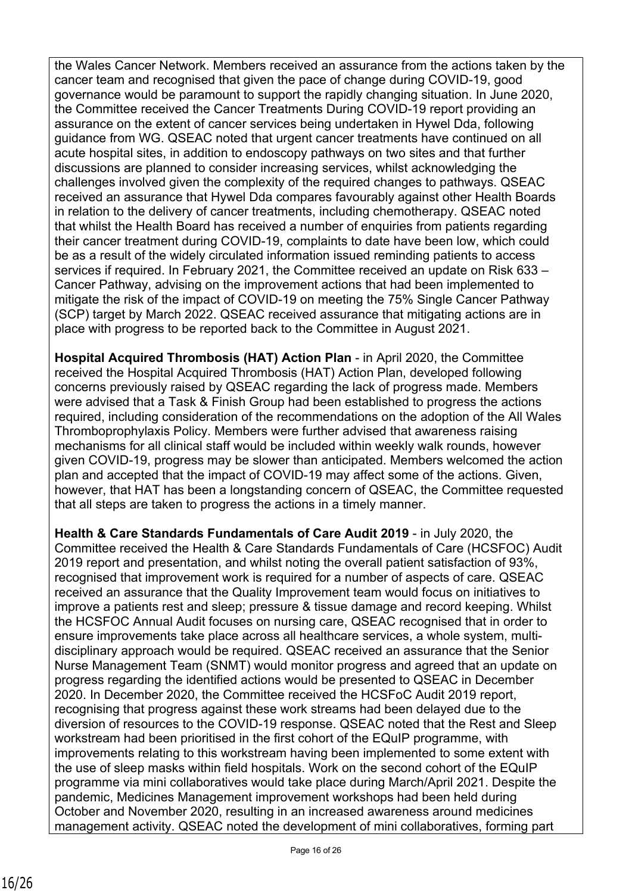the Wales Cancer Network. Members received an assurance from the actions taken by the cancer team and recognised that given the pace of change during COVID-19, good governance would be paramount to support the rapidly changing situation. In June 2020, the Committee received the Cancer Treatments During COVID-19 report providing an assurance on the extent of cancer services being undertaken in Hywel Dda, following guidance from WG. QSEAC noted that urgent cancer treatments have continued on all acute hospital sites, in addition to endoscopy pathways on two sites and that further discussions are planned to consider increasing services, whilst acknowledging the challenges involved given the complexity of the required changes to pathways. QSEAC received an assurance that Hywel Dda compares favourably against other Health Boards in relation to the delivery of cancer treatments, including chemotherapy. QSEAC noted that whilst the Health Board has received a number of enquiries from patients regarding their cancer treatment during COVID-19, complaints to date have been low, which could be as a result of the widely circulated information issued reminding patients to access services if required. In February 2021, the Committee received an update on Risk 633 – Cancer Pathway, advising on the improvement actions that had been implemented to mitigate the risk of the impact of COVID-19 on meeting the 75% Single Cancer Pathway (SCP) target by March 2022. QSEAC received assurance that mitigating actions are in place with progress to be reported back to the Committee in August 2021.

**Hospital Acquired Thrombosis (HAT) Action Plan** - in April 2020, the Committee received the Hospital Acquired Thrombosis (HAT) Action Plan, developed following concerns previously raised by QSEAC regarding the lack of progress made. Members were advised that a Task & Finish Group had been established to progress the actions required, including consideration of the recommendations on the adoption of the All Wales Thromboprophylaxis Policy. Members were further advised that awareness raising mechanisms for all clinical staff would be included within weekly walk rounds, however given COVID-19, progress may be slower than anticipated. Members welcomed the action plan and accepted that the impact of COVID-19 may affect some of the actions. Given, however, that HAT has been a longstanding concern of QSEAC, the Committee requested that all steps are taken to progress the actions in a timely manner.

**Health & Care Standards Fundamentals of Care Audit 2019** - in July 2020, the Committee received the Health & Care Standards Fundamentals of Care (HCSFOC) Audit 2019 report and presentation, and whilst noting the overall patient satisfaction of 93%, recognised that improvement work is required for a number of aspects of care. QSEAC received an assurance that the Quality Improvement team would focus on initiatives to improve a patients rest and sleep; pressure & tissue damage and record keeping. Whilst the HCSFOC Annual Audit focuses on nursing care, QSEAC recognised that in order to ensure improvements take place across all healthcare services, a whole system, multidisciplinary approach would be required. QSEAC received an assurance that the Senior Nurse Management Team (SNMT) would monitor progress and agreed that an update on progress regarding the identified actions would be presented to QSEAC in December 2020. In December 2020, the Committee received the HCSFoC Audit 2019 report, recognising that progress against these work streams had been delayed due to the diversion of resources to the COVID-19 response. QSEAC noted that the Rest and Sleep workstream had been prioritised in the first cohort of the EQuIP programme, with improvements relating to this workstream having been implemented to some extent with the use of sleep masks within field hospitals. Work on the second cohort of the EQuIP programme via mini collaboratives would take place during March/April 2021. Despite the pandemic, Medicines Management improvement workshops had been held during October and November 2020, resulting in an increased awareness around medicines management activity. QSEAC noted the development of mini collaboratives, forming part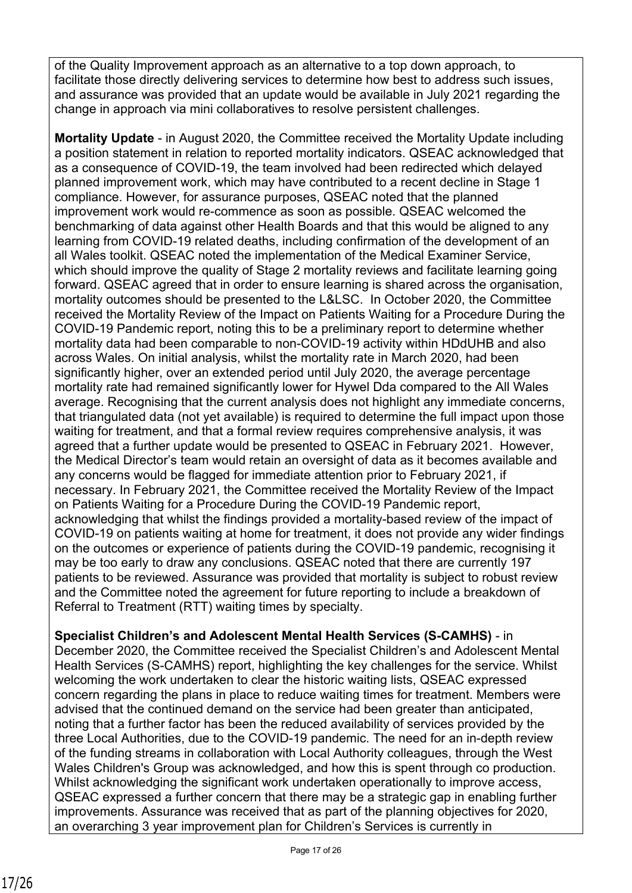of the Quality Improvement approach as an alternative to a top down approach, to facilitate those directly delivering services to determine how best to address such issues, and assurance was provided that an update would be available in July 2021 regarding the change in approach via mini collaboratives to resolve persistent challenges.

**Mortality Update** - in August 2020, the Committee received the Mortality Update including a position statement in relation to reported mortality indicators. QSEAC acknowledged that as a consequence of COVID-19, the team involved had been redirected which delayed planned improvement work, which may have contributed to a recent decline in Stage 1 compliance. However, for assurance purposes, QSEAC noted that the planned improvement work would re-commence as soon as possible. QSEAC welcomed the benchmarking of data against other Health Boards and that this would be aligned to any learning from COVID-19 related deaths, including confirmation of the development of an all Wales toolkit. QSEAC noted the implementation of the Medical Examiner Service, which should improve the quality of Stage 2 mortality reviews and facilitate learning going forward. QSEAC agreed that in order to ensure learning is shared across the organisation, mortality outcomes should be presented to the L&LSC. In October 2020, the Committee received the Mortality Review of the Impact on Patients Waiting for a Procedure During the COVID-19 Pandemic report, noting this to be a preliminary report to determine whether mortality data had been comparable to non-COVID-19 activity within HDdUHB and also across Wales. On initial analysis, whilst the mortality rate in March 2020, had been significantly higher, over an extended period until July 2020, the average percentage mortality rate had remained significantly lower for Hywel Dda compared to the All Wales average. Recognising that the current analysis does not highlight any immediate concerns, that triangulated data (not yet available) is required to determine the full impact upon those waiting for treatment, and that a formal review requires comprehensive analysis, it was agreed that a further update would be presented to QSEAC in February 2021. However, the Medical Director's team would retain an oversight of data as it becomes available and any concerns would be flagged for immediate attention prior to February 2021, if necessary. In February 2021, the Committee received the Mortality Review of the Impact on Patients Waiting for a Procedure During the COVID-19 Pandemic report, acknowledging that whilst the findings provided a mortality-based review of the impact of COVID-19 on patients waiting at home for treatment, it does not provide any wider findings on the outcomes or experience of patients during the COVID-19 pandemic, recognising it may be too early to draw any conclusions. QSEAC noted that there are currently 197 patients to be reviewed. Assurance was provided that mortality is subject to robust review and the Committee noted the agreement for future reporting to include a breakdown of Referral to Treatment (RTT) waiting times by specialty.

**Specialist Children's and Adolescent Mental Health Services (S-CAMHS)** - in December 2020, the Committee received the Specialist Children's and Adolescent Mental Health Services (S-CAMHS) report, highlighting the key challenges for the service. Whilst welcoming the work undertaken to clear the historic waiting lists, QSEAC expressed concern regarding the plans in place to reduce waiting times for treatment. Members were advised that the continued demand on the service had been greater than anticipated, noting that a further factor has been the reduced availability of services provided by the three Local Authorities, due to the COVID-19 pandemic. The need for an in-depth review of the funding streams in collaboration with Local Authority colleagues, through the West Wales Children's Group was acknowledged, and how this is spent through co production. Whilst acknowledging the significant work undertaken operationally to improve access, QSEAC expressed a further concern that there may be a strategic gap in enabling further improvements. Assurance was received that as part of the planning objectives for 2020, an overarching 3 year improvement plan for Children's Services is currently in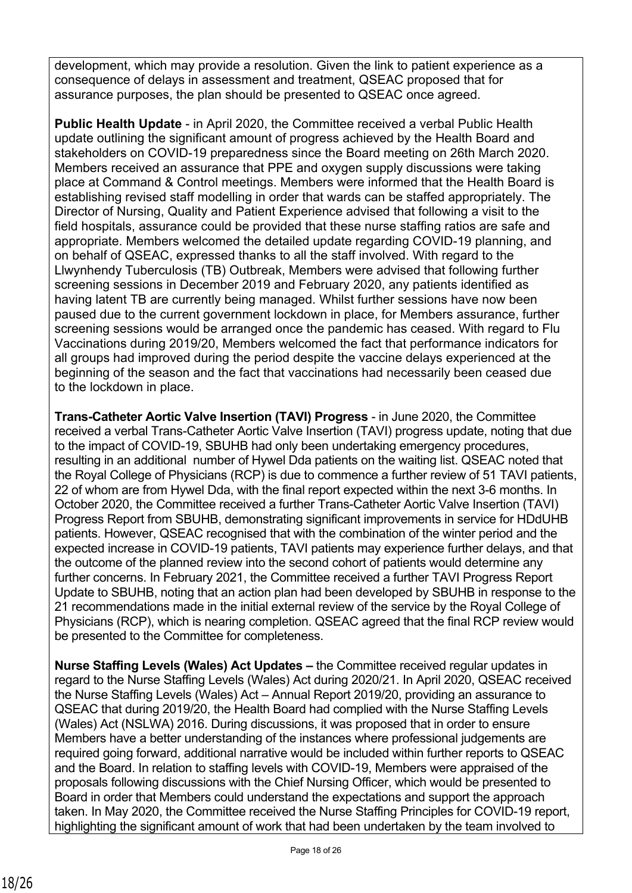development, which may provide a resolution. Given the link to patient experience as a consequence of delays in assessment and treatment, QSEAC proposed that for assurance purposes, the plan should be presented to QSEAC once agreed.

**Public Health Update** - in April 2020, the Committee received a verbal Public Health update outlining the significant amount of progress achieved by the Health Board and stakeholders on COVID-19 preparedness since the Board meeting on 26th March 2020. Members received an assurance that PPE and oxygen supply discussions were taking place at Command & Control meetings. Members were informed that the Health Board is establishing revised staff modelling in order that wards can be staffed appropriately. The Director of Nursing, Quality and Patient Experience advised that following a visit to the field hospitals, assurance could be provided that these nurse staffing ratios are safe and appropriate. Members welcomed the detailed update regarding COVID-19 planning, and on behalf of QSEAC, expressed thanks to all the staff involved. With regard to the Llwynhendy Tuberculosis (TB) Outbreak, Members were advised that following further screening sessions in December 2019 and February 2020, any patients identified as having latent TB are currently being managed. Whilst further sessions have now been paused due to the current government lockdown in place, for Members assurance, further screening sessions would be arranged once the pandemic has ceased. With regard to Flu Vaccinations during 2019/20, Members welcomed the fact that performance indicators for all groups had improved during the period despite the vaccine delays experienced at the beginning of the season and the fact that vaccinations had necessarily been ceased due to the lockdown in place.

**Trans-Catheter Aortic Valve Insertion (TAVI) Progress** - in June 2020, the Committee received a verbal Trans-Catheter Aortic Valve Insertion (TAVI) progress update, noting that due to the impact of COVID-19, SBUHB had only been undertaking emergency procedures, resulting in an additional number of Hywel Dda patients on the waiting list. QSEAC noted that the Royal College of Physicians (RCP) is due to commence a further review of 51 TAVI patients, 22 of whom are from Hywel Dda, with the final report expected within the next 3-6 months. In October 2020, the Committee received a further Trans-Catheter Aortic Valve Insertion (TAVI) Progress Report from SBUHB, demonstrating significant improvements in service for HDdUHB patients. However, QSEAC recognised that with the combination of the winter period and the expected increase in COVID-19 patients, TAVI patients may experience further delays, and that the outcome of the planned review into the second cohort of patients would determine any further concerns. In February 2021, the Committee received a further TAVI Progress Report Update to SBUHB, noting that an action plan had been developed by SBUHB in response to the 21 recommendations made in the initial external review of the service by the Royal College of Physicians (RCP), which is nearing completion. QSEAC agreed that the final RCP review would be presented to the Committee for completeness.

**Nurse Staffing Levels (Wales) Act Updates –** the Committee received regular updates in regard to the Nurse Staffing Levels (Wales) Act during 2020/21. In April 2020, QSEAC received the Nurse Staffing Levels (Wales) Act – Annual Report 2019/20, providing an assurance to QSEAC that during 2019/20, the Health Board had complied with the Nurse Staffing Levels (Wales) Act (NSLWA) 2016. During discussions, it was proposed that in order to ensure Members have a better understanding of the instances where professional judgements are required going forward, additional narrative would be included within further reports to QSEAC and the Board. In relation to staffing levels with COVID-19, Members were appraised of the proposals following discussions with the Chief Nursing Officer, which would be presented to Board in order that Members could understand the expectations and support the approach taken. In May 2020, the Committee received the Nurse Staffing Principles for COVID-19 report, highlighting the significant amount of work that had been undertaken by the team involved to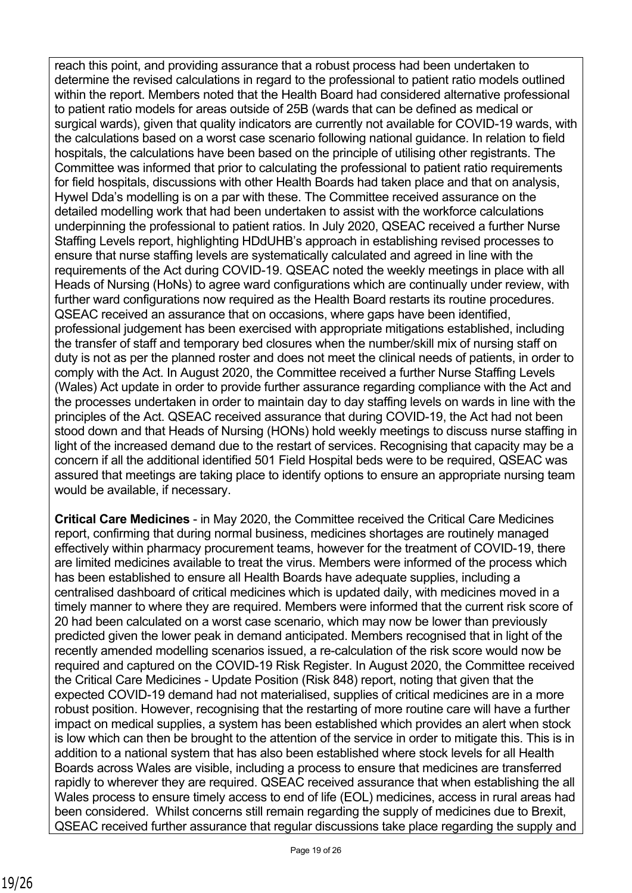reach this point, and providing assurance that a robust process had been undertaken to determine the revised calculations in regard to the professional to patient ratio models outlined within the report. Members noted that the Health Board had considered alternative professional to patient ratio models for areas outside of 25B (wards that can be defined as medical or surgical wards), given that quality indicators are currently not available for COVID-19 wards, with the calculations based on a worst case scenario following national guidance. In relation to field hospitals, the calculations have been based on the principle of utilising other registrants. The Committee was informed that prior to calculating the professional to patient ratio requirements for field hospitals, discussions with other Health Boards had taken place and that on analysis, Hywel Dda's modelling is on a par with these. The Committee received assurance on the detailed modelling work that had been undertaken to assist with the workforce calculations underpinning the professional to patient ratios. In July 2020, QSEAC received a further Nurse Staffing Levels report, highlighting HDdUHB's approach in establishing revised processes to ensure that nurse staffing levels are systematically calculated and agreed in line with the requirements of the Act during COVID-19. QSEAC noted the weekly meetings in place with all Heads of Nursing (HoNs) to agree ward configurations which are continually under review, with further ward configurations now required as the Health Board restarts its routine procedures. QSEAC received an assurance that on occasions, where gaps have been identified, professional judgement has been exercised with appropriate mitigations established, including the transfer of staff and temporary bed closures when the number/skill mix of nursing staff on duty is not as per the planned roster and does not meet the clinical needs of patients, in order to comply with the Act. In August 2020, the Committee received a further Nurse Staffing Levels (Wales) Act update in order to provide further assurance regarding compliance with the Act and the processes undertaken in order to maintain day to day staffing levels on wards in line with the principles of the Act. QSEAC received assurance that during COVID-19, the Act had not been stood down and that Heads of Nursing (HONs) hold weekly meetings to discuss nurse staffing in light of the increased demand due to the restart of services. Recognising that capacity may be a concern if all the additional identified 501 Field Hospital beds were to be required, QSEAC was assured that meetings are taking place to identify options to ensure an appropriate nursing team would be available, if necessary.

**Critical Care Medicines** - in May 2020, the Committee received the Critical Care Medicines report, confirming that during normal business, medicines shortages are routinely managed effectively within pharmacy procurement teams, however for the treatment of COVID-19, there are limited medicines available to treat the virus. Members were informed of the process which has been established to ensure all Health Boards have adequate supplies, including a centralised dashboard of critical medicines which is updated daily, with medicines moved in a timely manner to where they are required. Members were informed that the current risk score of 20 had been calculated on a worst case scenario, which may now be lower than previously predicted given the lower peak in demand anticipated. Members recognised that in light of the recently amended modelling scenarios issued, a re-calculation of the risk score would now be required and captured on the COVID-19 Risk Register. In August 2020, the Committee received the Critical Care Medicines - Update Position (Risk 848) report, noting that given that the expected COVID-19 demand had not materialised, supplies of critical medicines are in a more robust position. However, recognising that the restarting of more routine care will have a further impact on medical supplies, a system has been established which provides an alert when stock is low which can then be brought to the attention of the service in order to mitigate this. This is in addition to a national system that has also been established where stock levels for all Health Boards across Wales are visible, including a process to ensure that medicines are transferred rapidly to wherever they are required. QSEAC received assurance that when establishing the all Wales process to ensure timely access to end of life (EOL) medicines, access in rural areas had been considered. Whilst concerns still remain regarding the supply of medicines due to Brexit, QSEAC received further assurance that regular discussions take place regarding the supply and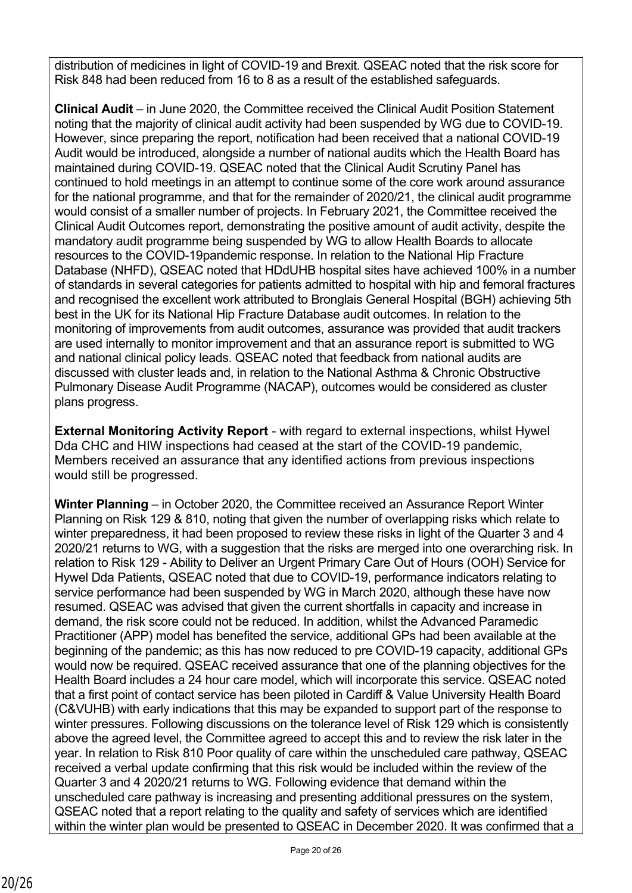distribution of medicines in light of COVID-19 and Brexit. QSEAC noted that the risk score for Risk 848 had been reduced from 16 to 8 as a result of the established safeguards.

**Clinical Audit** – in June 2020, the Committee received the Clinical Audit Position Statement noting that the majority of clinical audit activity had been suspended by WG due to COVID-19. However, since preparing the report, notification had been received that a national COVID-19 Audit would be introduced, alongside a number of national audits which the Health Board has maintained during COVID-19. QSEAC noted that the Clinical Audit Scrutiny Panel has continued to hold meetings in an attempt to continue some of the core work around assurance for the national programme, and that for the remainder of 2020/21, the clinical audit programme would consist of a smaller number of projects. In February 2021, the Committee received the Clinical Audit Outcomes report, demonstrating the positive amount of audit activity, despite the mandatory audit programme being suspended by WG to allow Health Boards to allocate resources to the COVID-19pandemic response. In relation to the National Hip Fracture Database (NHFD), QSEAC noted that HDdUHB hospital sites have achieved 100% in a number of standards in several categories for patients admitted to hospital with hip and femoral fractures and recognised the excellent work attributed to Bronglais General Hospital (BGH) achieving 5th best in the UK for its National Hip Fracture Database audit outcomes. In relation to the monitoring of improvements from audit outcomes, assurance was provided that audit trackers are used internally to monitor improvement and that an assurance report is submitted to WG and national clinical policy leads. QSEAC noted that feedback from national audits are discussed with cluster leads and, in relation to the National Asthma & Chronic Obstructive Pulmonary Disease Audit Programme (NACAP), outcomes would be considered as cluster plans progress.

**External Monitoring Activity Report** - with regard to external inspections, whilst Hywel Dda CHC and HIW inspections had ceased at the start of the COVID-19 pandemic, Members received an assurance that any identified actions from previous inspections would still be progressed.

**Winter Planning** – in October 2020, the Committee received an Assurance Report Winter Planning on Risk 129 & 810, noting that given the number of overlapping risks which relate to winter preparedness, it had been proposed to review these risks in light of the Quarter 3 and 4 2020/21 returns to WG, with a suggestion that the risks are merged into one overarching risk. In relation to Risk 129 - Ability to Deliver an Urgent Primary Care Out of Hours (OOH) Service for Hywel Dda Patients, QSEAC noted that due to COVID-19, performance indicators relating to service performance had been suspended by WG in March 2020, although these have now resumed. QSEAC was advised that given the current shortfalls in capacity and increase in demand, the risk score could not be reduced. In addition, whilst the Advanced Paramedic Practitioner (APP) model has benefited the service, additional GPs had been available at the beginning of the pandemic; as this has now reduced to pre COVID-19 capacity, additional GPs would now be required. QSEAC received assurance that one of the planning objectives for the Health Board includes a 24 hour care model, which will incorporate this service. QSEAC noted that a first point of contact service has been piloted in Cardiff & Value University Health Board (C&VUHB) with early indications that this may be expanded to support part of the response to winter pressures. Following discussions on the tolerance level of Risk 129 which is consistently above the agreed level, the Committee agreed to accept this and to review the risk later in the year. In relation to Risk 810 Poor quality of care within the unscheduled care pathway, QSEAC received a verbal update confirming that this risk would be included within the review of the Quarter 3 and 4 2020/21 returns to WG. Following evidence that demand within the unscheduled care pathway is increasing and presenting additional pressures on the system, QSEAC noted that a report relating to the quality and safety of services which are identified within the winter plan would be presented to QSEAC in December 2020. It was confirmed that a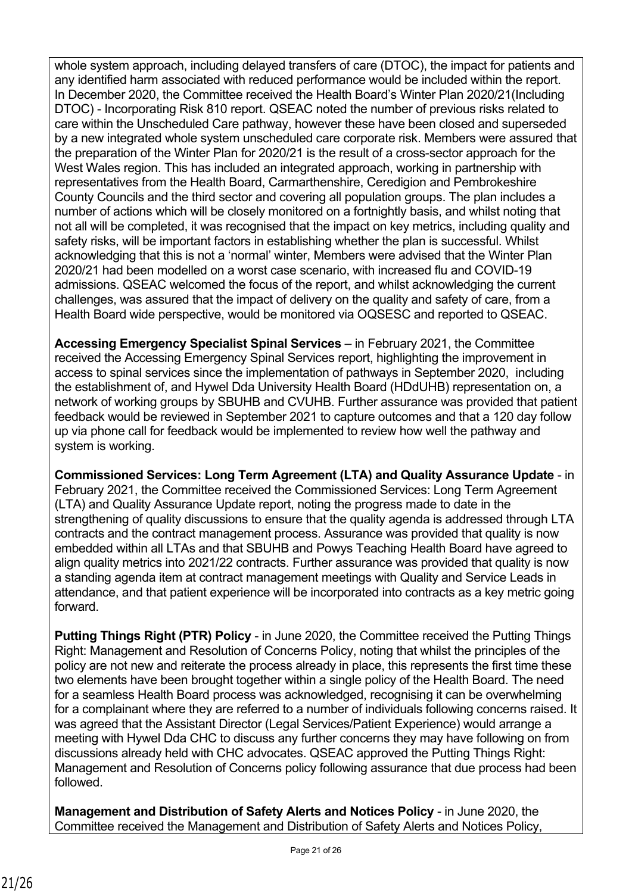whole system approach, including delayed transfers of care (DTOC), the impact for patients and any identified harm associated with reduced performance would be included within the report. In December 2020, the Committee received the Health Board's Winter Plan 2020/21(Including DTOC) - Incorporating Risk 810 report. QSEAC noted the number of previous risks related to care within the Unscheduled Care pathway, however these have been closed and superseded by a new integrated whole system unscheduled care corporate risk. Members were assured that the preparation of the Winter Plan for 2020/21 is the result of a cross-sector approach for the West Wales region. This has included an integrated approach, working in partnership with representatives from the Health Board, Carmarthenshire, Ceredigion and Pembrokeshire County Councils and the third sector and covering all population groups. The plan includes a number of actions which will be closely monitored on a fortnightly basis, and whilst noting that not all will be completed, it was recognised that the impact on key metrics, including quality and safety risks, will be important factors in establishing whether the plan is successful. Whilst acknowledging that this is not a 'normal' winter, Members were advised that the Winter Plan 2020/21 had been modelled on a worst case scenario, with increased flu and COVID-19 admissions. QSEAC welcomed the focus of the report, and whilst acknowledging the current challenges, was assured that the impact of delivery on the quality and safety of care, from a Health Board wide perspective, would be monitored via OQSESC and reported to QSEAC.

**Accessing Emergency Specialist Spinal Services** – in February 2021, the Committee received the Accessing Emergency Spinal Services report, highlighting the improvement in access to spinal services since the implementation of pathways in September 2020, including the establishment of, and Hywel Dda University Health Board (HDdUHB) representation on, a network of working groups by SBUHB and CVUHB. Further assurance was provided that patient feedback would be reviewed in September 2021 to capture outcomes and that a 120 day follow up via phone call for feedback would be implemented to review how well the pathway and system is working.

**Commissioned Services: Long Term Agreement (LTA) and Quality Assurance Update** - in February 2021, the Committee received the Commissioned Services: Long Term Agreement (LTA) and Quality Assurance Update report, noting the progress made to date in the strengthening of quality discussions to ensure that the quality agenda is addressed through LTA contracts and the contract management process. Assurance was provided that quality is now embedded within all LTAs and that SBUHB and Powys Teaching Health Board have agreed to align quality metrics into 2021/22 contracts. Further assurance was provided that quality is now a standing agenda item at contract management meetings with Quality and Service Leads in attendance, and that patient experience will be incorporated into contracts as a key metric going forward.

**Putting Things Right (PTR) Policy** - in June 2020, the Committee received the Putting Things Right: Management and Resolution of Concerns Policy, noting that whilst the principles of the policy are not new and reiterate the process already in place, this represents the first time these two elements have been brought together within a single policy of the Health Board. The need for a seamless Health Board process was acknowledged, recognising it can be overwhelming for a complainant where they are referred to a number of individuals following concerns raised. It was agreed that the Assistant Director (Legal Services/Patient Experience) would arrange a meeting with Hywel Dda CHC to discuss any further concerns they may have following on from discussions already held with CHC advocates. QSEAC approved the Putting Things Right: Management and Resolution of Concerns policy following assurance that due process had been followed.

**Management and Distribution of Safety Alerts and Notices Policy** - in June 2020, the Committee received the Management and Distribution of Safety Alerts and Notices Policy,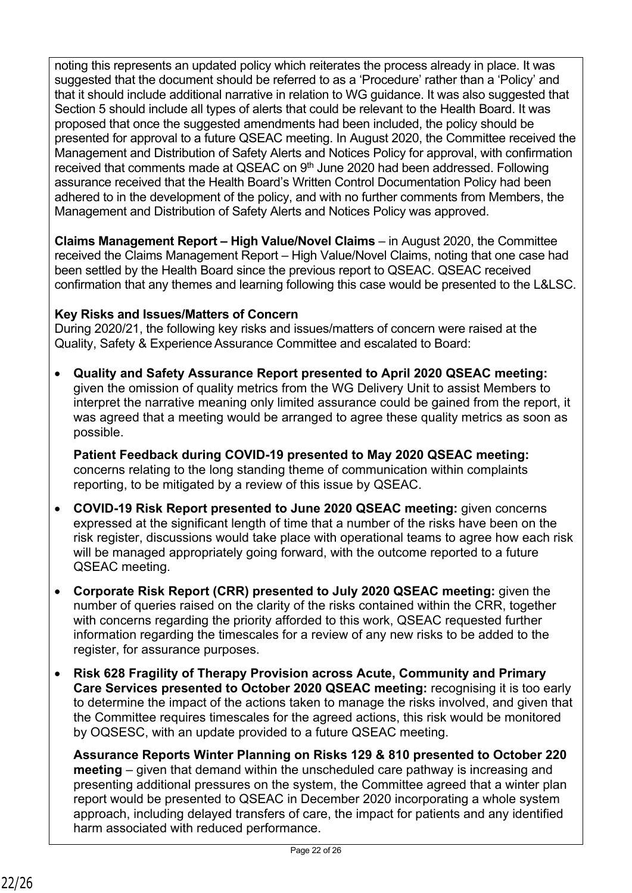noting this represents an updated policy which reiterates the process already in place. It was suggested that the document should be referred to as a 'Procedure' rather than a 'Policy' and that it should include additional narrative in relation to WG guidance. It was also suggested that Section 5 should include all types of alerts that could be relevant to the Health Board. It was proposed that once the suggested amendments had been included, the policy should be presented for approval to a future QSEAC meeting. In August 2020, the Committee received the Management and Distribution of Safety Alerts and Notices Policy for approval, with confirmation received that comments made at QSEAC on 9<sup>th</sup> June 2020 had been addressed. Following assurance received that the Health Board's Written Control Documentation Policy had been adhered to in the development of the policy, and with no further comments from Members, the Management and Distribution of Safety Alerts and Notices Policy was approved.

**Claims Management Report – High Value/Novel Claims** – in August 2020, the Committee received the Claims Management Report – High Value/Novel Claims, noting that one case had been settled by the Health Board since the previous report to QSEAC. QSEAC received confirmation that any themes and learning following this case would be presented to the L&LSC.

#### **Key Risks and Issues/Matters of Concern**

During 2020/21, the following key risks and issues/matters of concern were raised at the Quality, Safety & Experience Assurance Committee and escalated to Board:

 **Quality and Safety Assurance Report presented to April 2020 QSEAC meeting:**  given the omission of quality metrics from the WG Delivery Unit to assist Members to interpret the narrative meaning only limited assurance could be gained from the report, it was agreed that a meeting would be arranged to agree these quality metrics as soon as possible.

**Patient Feedback during COVID-19 presented to May 2020 QSEAC meeting:**  concerns relating to the long standing theme of communication within complaints reporting, to be mitigated by a review of this issue by QSEAC.

- **COVID-19 Risk Report presented to June 2020 QSEAC meeting:** given concerns expressed at the significant length of time that a number of the risks have been on the risk register, discussions would take place with operational teams to agree how each risk will be managed appropriately going forward, with the outcome reported to a future QSEAC meeting.
- **Corporate Risk Report (CRR) presented to July 2020 QSEAC meeting:** given the number of queries raised on the clarity of the risks contained within the CRR, together with concerns regarding the priority afforded to this work, QSEAC requested further information regarding the timescales for a review of any new risks to be added to the register, for assurance purposes.
- **Risk 628 Fragility of Therapy Provision across Acute, Community and Primary Care Services presented to October 2020 QSEAC meeting:** recognising it is too early to determine the impact of the actions taken to manage the risks involved, and given that the Committee requires timescales for the agreed actions, this risk would be monitored by OQSESC, with an update provided to a future QSEAC meeting.

**Assurance Reports Winter Planning on Risks 129 & 810 presented to October 220 meeting** – given that demand within the unscheduled care pathway is increasing and presenting additional pressures on the system, the Committee agreed that a winter plan report would be presented to QSEAC in December 2020 incorporating a whole system approach, including delayed transfers of care, the impact for patients and any identified harm associated with reduced performance.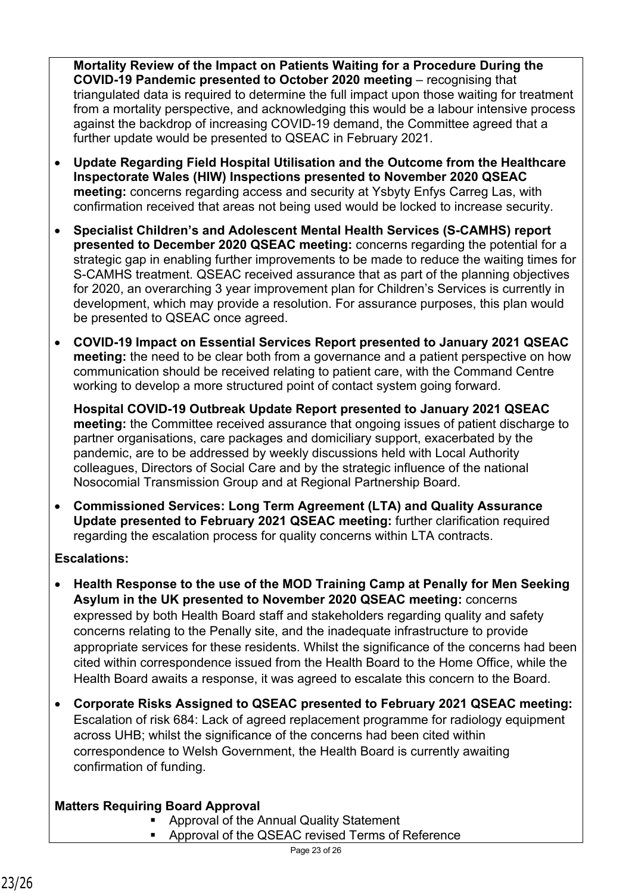**Mortality Review of the Impact on Patients Waiting for a Procedure During the COVID-19 Pandemic presented to October 2020 meeting** – recognising that triangulated data is required to determine the full impact upon those waiting for treatment from a mortality perspective, and acknowledging this would be a labour intensive process against the backdrop of increasing COVID-19 demand, the Committee agreed that a further update would be presented to QSEAC in February 2021.

- **Update Regarding Field Hospital Utilisation and the Outcome from the Healthcare Inspectorate Wales (HIW) Inspections presented to November 2020 QSEAC meeting:** concerns regarding access and security at Ysbyty Enfys Carreg Las, with confirmation received that areas not being used would be locked to increase security.
- **Specialist Children's and Adolescent Mental Health Services (S-CAMHS) report presented to December 2020 QSEAC meeting:** concerns regarding the potential for a strategic gap in enabling further improvements to be made to reduce the waiting times for S-CAMHS treatment. QSEAC received assurance that as part of the planning objectives for 2020, an overarching 3 year improvement plan for Children's Services is currently in development, which may provide a resolution. For assurance purposes, this plan would be presented to QSEAC once agreed.
- **COVID-19 Impact on Essential Services Report presented to January 2021 QSEAC meeting:** the need to be clear both from a governance and a patient perspective on how communication should be received relating to patient care, with the Command Centre working to develop a more structured point of contact system going forward.

**Hospital COVID-19 Outbreak Update Report presented to January 2021 QSEAC meeting:** the Committee received assurance that ongoing issues of patient discharge to partner organisations, care packages and domiciliary support, exacerbated by the pandemic, are to be addressed by weekly discussions held with Local Authority colleagues, Directors of Social Care and by the strategic influence of the national Nosocomial Transmission Group and at Regional Partnership Board.

 **Commissioned Services: Long Term Agreement (LTA) and Quality Assurance Update presented to February 2021 QSEAC meeting:** further clarification required regarding the escalation process for quality concerns within LTA contracts.

#### **Escalations:**

- **Health Response to the use of the MOD Training Camp at Penally for Men Seeking Asylum in the UK presented to November 2020 QSEAC meeting:** concerns expressed by both Health Board staff and stakeholders regarding quality and safety concerns relating to the Penally site, and the inadequate infrastructure to provide appropriate services for these residents. Whilst the significance of the concerns had been cited within correspondence issued from the Health Board to the Home Office, while the Health Board awaits a response, it was agreed to escalate this concern to the Board.
- **Corporate Risks Assigned to QSEAC presented to February 2021 QSEAC meeting:**  Escalation of risk 684: Lack of agreed replacement programme for radiology equipment across UHB; whilst the significance of the concerns had been cited within correspondence to Welsh Government, the Health Board is currently awaiting confirmation of funding.

## **Matters Requiring Board Approval**

- **Approval of the Annual Quality Statement**
- Approval of the QSEAC revised Terms of Reference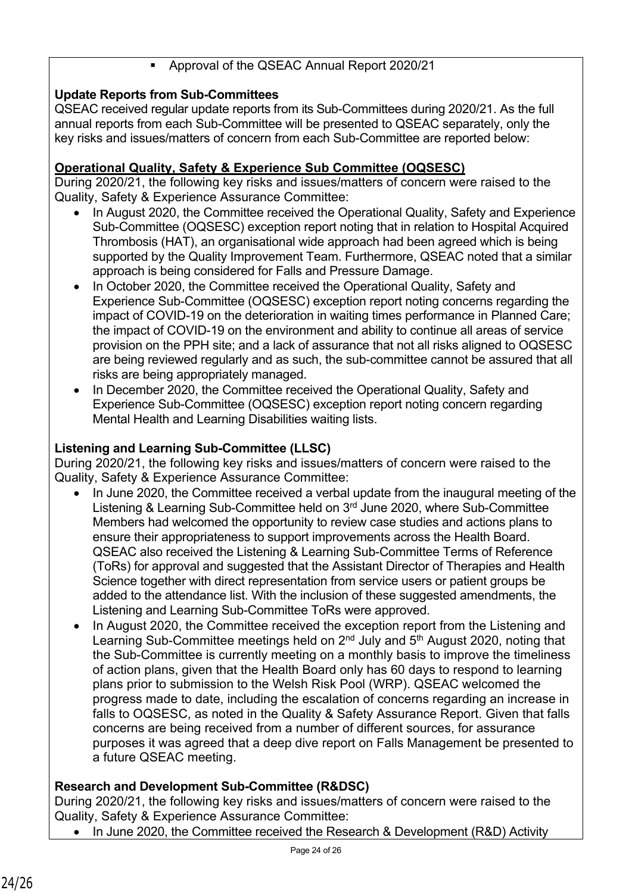### Approval of the QSEAC Annual Report 2020/21

## **Update Reports from Sub-Committees**

QSEAC received regular update reports from its Sub-Committees during 2020/21. As the full annual reports from each Sub-Committee will be presented to QSEAC separately, only the key risks and issues/matters of concern from each Sub-Committee are reported below:

## **Operational Quality, Safety & Experience Sub Committee (OQSESC)**

During 2020/21, the following key risks and issues/matters of concern were raised to the Quality, Safety & Experience Assurance Committee:

- In August 2020, the Committee received the Operational Quality, Safety and Experience Sub-Committee (OQSESC) exception report noting that in relation to Hospital Acquired Thrombosis (HAT), an organisational wide approach had been agreed which is being supported by the Quality Improvement Team. Furthermore, QSEAC noted that a similar approach is being considered for Falls and Pressure Damage.
- In October 2020, the Committee received the Operational Quality, Safety and Experience Sub-Committee (OQSESC) exception report noting concerns regarding the impact of COVID-19 on the deterioration in waiting times performance in Planned Care; the impact of COVID-19 on the environment and ability to continue all areas of service provision on the PPH site; and a lack of assurance that not all risks aligned to OQSESC are being reviewed regularly and as such, the sub-committee cannot be assured that all risks are being appropriately managed.
- In December 2020, the Committee received the Operational Quality, Safety and Experience Sub-Committee (OQSESC) exception report noting concern regarding Mental Health and Learning Disabilities waiting lists.

#### **Listening and Learning Sub-Committee (LLSC)**

During 2020/21, the following key risks and issues/matters of concern were raised to the Quality, Safety & Experience Assurance Committee:

- In June 2020, the Committee received a verbal update from the inaugural meeting of the Listening & Learning Sub-Committee held on 3rd June 2020, where Sub-Committee Members had welcomed the opportunity to review case studies and actions plans to ensure their appropriateness to support improvements across the Health Board. QSEAC also received the Listening & Learning Sub-Committee Terms of Reference (ToRs) for approval and suggested that the Assistant Director of Therapies and Health Science together with direct representation from service users or patient groups be added to the attendance list. With the inclusion of these suggested amendments, the Listening and Learning Sub-Committee ToRs were approved.
- In August 2020, the Committee received the exception report from the Listening and Learning Sub-Committee meetings held on 2<sup>nd</sup> July and 5<sup>th</sup> August 2020, noting that the Sub-Committee is currently meeting on a monthly basis to improve the timeliness of action plans, given that the Health Board only has 60 days to respond to learning plans prior to submission to the Welsh Risk Pool (WRP). QSEAC welcomed the progress made to date, including the escalation of concerns regarding an increase in falls to OQSESC, as noted in the Quality & Safety Assurance Report. Given that falls concerns are being received from a number of different sources, for assurance purposes it was agreed that a deep dive report on Falls Management be presented to a future QSEAC meeting.

#### **Research and Development Sub-Committee (R&DSC)**

During 2020/21, the following key risks and issues/matters of concern were raised to the Quality, Safety & Experience Assurance Committee:

In June 2020, the Committee received the Research & Development (R&D) Activity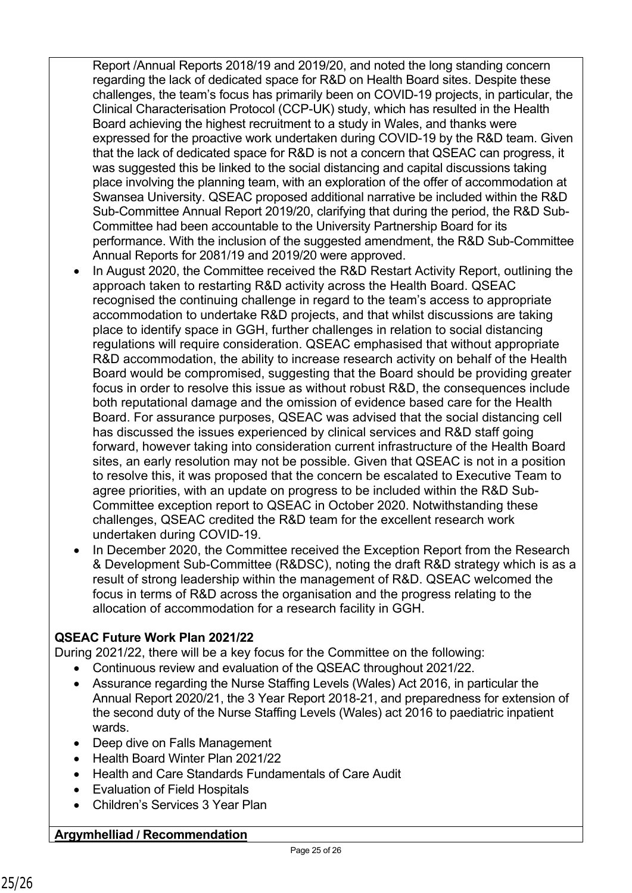Report /Annual Reports 2018/19 and 2019/20, and noted the long standing concern regarding the lack of dedicated space for R&D on Health Board sites. Despite these challenges, the team's focus has primarily been on COVID-19 projects, in particular, the Clinical Characterisation Protocol (CCP-UK) study, which has resulted in the Health Board achieving the highest recruitment to a study in Wales, and thanks were expressed for the proactive work undertaken during COVID-19 by the R&D team. Given that the lack of dedicated space for R&D is not a concern that QSEAC can progress, it was suggested this be linked to the social distancing and capital discussions taking place involving the planning team, with an exploration of the offer of accommodation at Swansea University. QSEAC proposed additional narrative be included within the R&D Sub-Committee Annual Report 2019/20, clarifying that during the period, the R&D Sub-Committee had been accountable to the University Partnership Board for its performance. With the inclusion of the suggested amendment, the R&D Sub-Committee Annual Reports for 2081/19 and 2019/20 were approved.

- In August 2020, the Committee received the R&D Restart Activity Report, outlining the approach taken to restarting R&D activity across the Health Board. QSEAC recognised the continuing challenge in regard to the team's access to appropriate accommodation to undertake R&D projects, and that whilst discussions are taking place to identify space in GGH, further challenges in relation to social distancing regulations will require consideration. QSEAC emphasised that without appropriate R&D accommodation, the ability to increase research activity on behalf of the Health Board would be compromised, suggesting that the Board should be providing greater focus in order to resolve this issue as without robust R&D, the consequences include both reputational damage and the omission of evidence based care for the Health Board. For assurance purposes, QSEAC was advised that the social distancing cell has discussed the issues experienced by clinical services and R&D staff going forward, however taking into consideration current infrastructure of the Health Board sites, an early resolution may not be possible. Given that QSEAC is not in a position to resolve this, it was proposed that the concern be escalated to Executive Team to agree priorities, with an update on progress to be included within the R&D Sub-Committee exception report to QSEAC in October 2020. Notwithstanding these challenges, QSEAC credited the R&D team for the excellent research work undertaken during COVID-19.
- In December 2020, the Committee received the Exception Report from the Research & Development Sub-Committee (R&DSC), noting the draft R&D strategy which is as a result of strong leadership within the management of R&D. QSEAC welcomed the focus in terms of R&D across the organisation and the progress relating to the allocation of accommodation for a research facility in GGH.

## **QSEAC Future Work Plan 2021/22**

During 2021/22, there will be a key focus for the Committee on the following:

- Continuous review and evaluation of the QSEAC throughout 2021/22.
- Assurance regarding the Nurse Staffing Levels (Wales) Act 2016, in particular the Annual Report 2020/21, the 3 Year Report 2018-21, and preparedness for extension of the second duty of the Nurse Staffing Levels (Wales) act 2016 to paediatric inpatient wards.
- Deep dive on Falls Management
- Health Board Winter Plan 2021/22
- Health and Care Standards Fundamentals of Care Audit
- Evaluation of Field Hospitals
- Children's Services 3 Year Plan

#### **Argymhelliad / Recommendation**